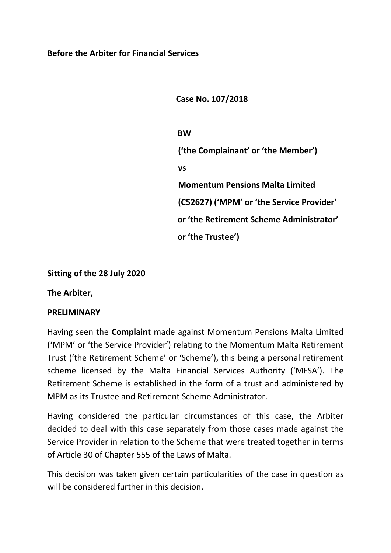**Case No. 107/2018**

**BW ('the Complainant' or 'the Member') vs Momentum Pensions Malta Limited (C52627) ('MPM' or 'the Service Provider' or 'the Retirement Scheme Administrator' or 'the Trustee')**

# **Sitting of the 28 July 2020**

**The Arbiter,**

## **PRELIMINARY**

Having seen the **Complaint** made against Momentum Pensions Malta Limited ('MPM' or 'the Service Provider') relating to the Momentum Malta Retirement Trust ('the Retirement Scheme' or 'Scheme'), this being a personal retirement scheme licensed by the Malta Financial Services Authority ('MFSA'). The Retirement Scheme is established in the form of a trust and administered by MPM as its Trustee and Retirement Scheme Administrator.

Having considered the particular circumstances of this case, the Arbiter decided to deal with this case separately from those cases made against the Service Provider in relation to the Scheme that were treated together in terms of Article 30 of Chapter 555 of the Laws of Malta.

This decision was taken given certain particularities of the case in question as will be considered further in this decision.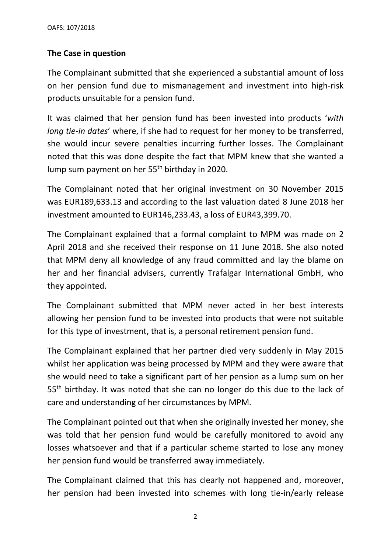# **The Case in question**

The Complainant submitted that she experienced a substantial amount of loss on her pension fund due to mismanagement and investment into high-risk products unsuitable for a pension fund.

It was claimed that her pension fund has been invested into products '*with long tie-in dates*' where, if she had to request for her money to be transferred, she would incur severe penalties incurring further losses. The Complainant noted that this was done despite the fact that MPM knew that she wanted a lump sum payment on her 55<sup>th</sup> birthday in 2020.

The Complainant noted that her original investment on 30 November 2015 was EUR189,633.13 and according to the last valuation dated 8 June 2018 her investment amounted to EUR146,233.43, a loss of EUR43,399.70.

The Complainant explained that a formal complaint to MPM was made on 2 April 2018 and she received their response on 11 June 2018. She also noted that MPM deny all knowledge of any fraud committed and lay the blame on her and her financial advisers, currently Trafalgar International GmbH, who they appointed.

The Complainant submitted that MPM never acted in her best interests allowing her pension fund to be invested into products that were not suitable for this type of investment, that is, a personal retirement pension fund.

The Complainant explained that her partner died very suddenly in May 2015 whilst her application was being processed by MPM and they were aware that she would need to take a significant part of her pension as a lump sum on her 55<sup>th</sup> birthday. It was noted that she can no longer do this due to the lack of care and understanding of her circumstances by MPM.

The Complainant pointed out that when she originally invested her money, she was told that her pension fund would be carefully monitored to avoid any losses whatsoever and that if a particular scheme started to lose any money her pension fund would be transferred away immediately.

The Complainant claimed that this has clearly not happened and, moreover, her pension had been invested into schemes with long tie-in/early release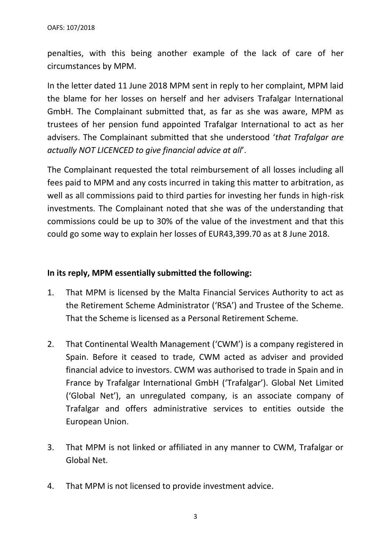penalties, with this being another example of the lack of care of her circumstances by MPM.

In the letter dated 11 June 2018 MPM sent in reply to her complaint, MPM laid the blame for her losses on herself and her advisers Trafalgar International GmbH. The Complainant submitted that, as far as she was aware, MPM as trustees of her pension fund appointed Trafalgar International to act as her advisers. The Complainant submitted that she understood '*that Trafalgar are actually NOT LICENCED to give financial advice at all*'.

The Complainant requested the total reimbursement of all losses including all fees paid to MPM and any costs incurred in taking this matter to arbitration, as well as all commissions paid to third parties for investing her funds in high-risk investments. The Complainant noted that she was of the understanding that commissions could be up to 30% of the value of the investment and that this could go some way to explain her losses of EUR43,399.70 as at 8 June 2018.

## **In its reply, MPM essentially submitted the following:**

- 1. That MPM is licensed by the Malta Financial Services Authority to act as the Retirement Scheme Administrator ('RSA') and Trustee of the Scheme. That the Scheme is licensed as a Personal Retirement Scheme.
- 2. That Continental Wealth Management ('CWM') is a company registered in Spain. Before it ceased to trade, CWM acted as adviser and provided financial advice to investors. CWM was authorised to trade in Spain and in France by Trafalgar International GmbH ('Trafalgar'). Global Net Limited ('Global Net'), an unregulated company, is an associate company of Trafalgar and offers administrative services to entities outside the European Union.
- 3. That MPM is not linked or affiliated in any manner to CWM, Trafalgar or Global Net.
- 4. That MPM is not licensed to provide investment advice.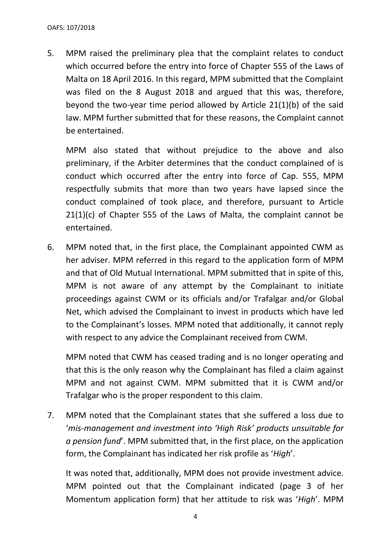5. MPM raised the preliminary plea that the complaint relates to conduct which occurred before the entry into force of Chapter 555 of the Laws of Malta on 18 April 2016. In this regard, MPM submitted that the Complaint was filed on the 8 August 2018 and argued that this was, therefore, beyond the two-year time period allowed by Article 21(1)(b) of the said law. MPM further submitted that for these reasons, the Complaint cannot be entertained.

MPM also stated that without prejudice to the above and also preliminary, if the Arbiter determines that the conduct complained of is conduct which occurred after the entry into force of Cap. 555, MPM respectfully submits that more than two years have lapsed since the conduct complained of took place, and therefore, pursuant to Article 21(1)(c) of Chapter 555 of the Laws of Malta, the complaint cannot be entertained.

6. MPM noted that, in the first place, the Complainant appointed CWM as her adviser. MPM referred in this regard to the application form of MPM and that of Old Mutual International. MPM submitted that in spite of this, MPM is not aware of any attempt by the Complainant to initiate proceedings against CWM or its officials and/or Trafalgar and/or Global Net, which advised the Complainant to invest in products which have led to the Complainant's losses. MPM noted that additionally, it cannot reply with respect to any advice the Complainant received from CWM.

MPM noted that CWM has ceased trading and is no longer operating and that this is the only reason why the Complainant has filed a claim against MPM and not against CWM. MPM submitted that it is CWM and/or Trafalgar who is the proper respondent to this claim.

7. MPM noted that the Complainant states that she suffered a loss due to '*mis-management and investment into 'High Risk' products unsuitable for a pension fund*'. MPM submitted that, in the first place, on the application form, the Complainant has indicated her risk profile as '*High*'.

It was noted that, additionally, MPM does not provide investment advice. MPM pointed out that the Complainant indicated (page 3 of her Momentum application form) that her attitude to risk was '*High*'. MPM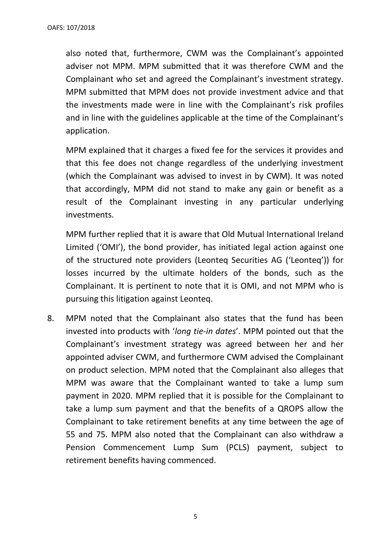also noted that, furthermore, CWM was the Complainant's appointed adviser not MPM. MPM submitted that it was therefore CWM and the Complainant who set and agreed the Complainant's investment strategy. MPM submitted that MPM does not provide investment advice and that the investments made were in line with the Complainant's risk profiles and in line with the guidelines applicable at the time of the Complainant's application.

MPM explained that it charges a fixed fee for the services it provides and that this fee does not change regardless of the underlying investment (which the Complainant was advised to invest in by CWM). It was noted that accordingly, MPM did not stand to make any gain or benefit as a result of the Complainant investing in any particular underlying investments.

MPM further replied that it is aware that Old Mutual International Ireland Limited ('OMI'), the bond provider, has initiated legal action against one of the structured note providers (Leonteq Securities AG ('Leonteq')) for losses incurred by the ultimate holders of the bonds, such as the Complainant. It is pertinent to note that it is OMI, and not MPM who is pursuing this litigation against Leonteq.

8. MPM noted that the Complainant also states that the fund has been invested into products with '*long tie-in dates*'. MPM pointed out that the Complainant's investment strategy was agreed between her and her appointed adviser CWM, and furthermore CWM advised the Complainant on product selection. MPM noted that the Complainant also alleges that MPM was aware that the Complainant wanted to take a lump sum payment in 2020. MPM replied that it is possible for the Complainant to take a lump sum payment and that the benefits of a QROPS allow the Complainant to take retirement benefits at any time between the age of 55 and 75. MPM also noted that the Complainant can also withdraw a Pension Commencement Lump Sum (PCLS) payment, subject to retirement benefits having commenced.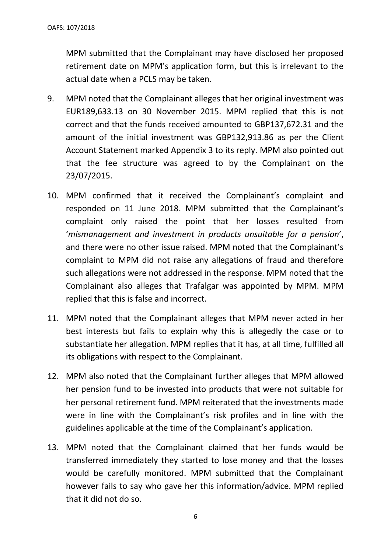MPM submitted that the Complainant may have disclosed her proposed retirement date on MPM's application form, but this is irrelevant to the actual date when a PCLS may be taken.

- 9. MPM noted that the Complainant alleges that her original investment was EUR189,633.13 on 30 November 2015. MPM replied that this is not correct and that the funds received amounted to GBP137,672.31 and the amount of the initial investment was GBP132,913.86 as per the Client Account Statement marked Appendix 3 to its reply. MPM also pointed out that the fee structure was agreed to by the Complainant on the 23/07/2015.
- 10. MPM confirmed that it received the Complainant's complaint and responded on 11 June 2018. MPM submitted that the Complainant's complaint only raised the point that her losses resulted from '*mismanagement and investment in products unsuitable for a pension*', and there were no other issue raised. MPM noted that the Complainant's complaint to MPM did not raise any allegations of fraud and therefore such allegations were not addressed in the response. MPM noted that the Complainant also alleges that Trafalgar was appointed by MPM. MPM replied that this is false and incorrect.
- 11. MPM noted that the Complainant alleges that MPM never acted in her best interests but fails to explain why this is allegedly the case or to substantiate her allegation. MPM replies that it has, at all time, fulfilled all its obligations with respect to the Complainant.
- 12. MPM also noted that the Complainant further alleges that MPM allowed her pension fund to be invested into products that were not suitable for her personal retirement fund. MPM reiterated that the investments made were in line with the Complainant's risk profiles and in line with the guidelines applicable at the time of the Complainant's application.
- 13. MPM noted that the Complainant claimed that her funds would be transferred immediately they started to lose money and that the losses would be carefully monitored. MPM submitted that the Complainant however fails to say who gave her this information/advice. MPM replied that it did not do so.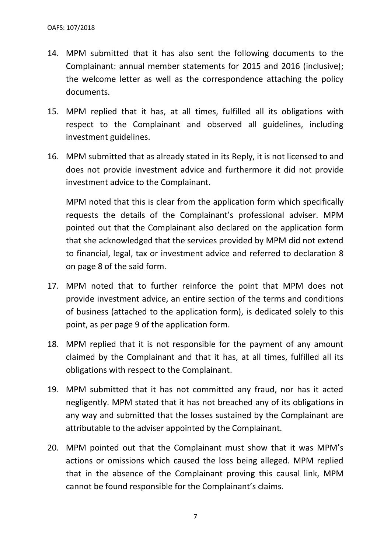- 14. MPM submitted that it has also sent the following documents to the Complainant: annual member statements for 2015 and 2016 (inclusive); the welcome letter as well as the correspondence attaching the policy documents.
- 15. MPM replied that it has, at all times, fulfilled all its obligations with respect to the Complainant and observed all guidelines, including investment guidelines.
- 16. MPM submitted that as already stated in its Reply, it is not licensed to and does not provide investment advice and furthermore it did not provide investment advice to the Complainant.

MPM noted that this is clear from the application form which specifically requests the details of the Complainant's professional adviser. MPM pointed out that the Complainant also declared on the application form that she acknowledged that the services provided by MPM did not extend to financial, legal, tax or investment advice and referred to declaration 8 on page 8 of the said form.

- 17. MPM noted that to further reinforce the point that MPM does not provide investment advice, an entire section of the terms and conditions of business (attached to the application form), is dedicated solely to this point, as per page 9 of the application form.
- 18. MPM replied that it is not responsible for the payment of any amount claimed by the Complainant and that it has, at all times, fulfilled all its obligations with respect to the Complainant.
- 19. MPM submitted that it has not committed any fraud, nor has it acted negligently. MPM stated that it has not breached any of its obligations in any way and submitted that the losses sustained by the Complainant are attributable to the adviser appointed by the Complainant.
- 20. MPM pointed out that the Complainant must show that it was MPM's actions or omissions which caused the loss being alleged. MPM replied that in the absence of the Complainant proving this causal link, MPM cannot be found responsible for the Complainant's claims.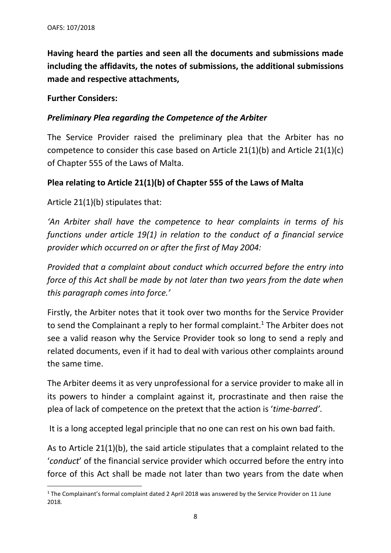**Having heard the parties and seen all the documents and submissions made including the affidavits, the notes of submissions, the additional submissions made and respective attachments,**

## **Further Considers:**

## *Preliminary Plea regarding the Competence of the Arbiter*

The Service Provider raised the preliminary plea that the Arbiter has no competence to consider this case based on Article 21(1)(b) and Article 21(1)(c) of Chapter 555 of the Laws of Malta.

# **Plea relating to Article 21(1)(b) of Chapter 555 of the Laws of Malta**

Article 21(1)(b) stipulates that:

*'An Arbiter shall have the competence to hear complaints in terms of his functions under article 19(1) in relation to the conduct of a financial service provider which occurred on or after the first of May 2004:*

*Provided that a complaint about conduct which occurred before the entry into force of this Act shall be made by not later than two years from the date when this paragraph comes into force.'*

Firstly, the Arbiter notes that it took over two months for the Service Provider to send the Complainant a reply to her formal complaint.<sup>1</sup> The Arbiter does not see a valid reason why the Service Provider took so long to send a reply and related documents, even if it had to deal with various other complaints around the same time.

The Arbiter deems it as very unprofessional for a service provider to make all in its powers to hinder a complaint against it, procrastinate and then raise the plea of lack of competence on the pretext that the action is '*time-barred'*.

It is a long accepted legal principle that no one can rest on his own bad faith.

As to Article 21(1)(b), the said article stipulates that a complaint related to the '*conduct*' of the financial service provider which occurred before the entry into force of this Act shall be made not later than two years from the date when

<sup>&</sup>lt;sup>1</sup> The Complainant's formal complaint dated 2 April 2018 was answered by the Service Provider on 11 June 2018.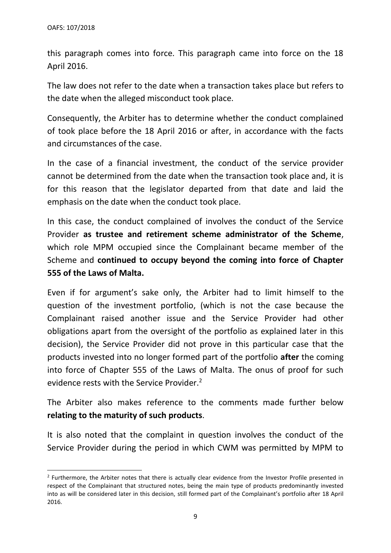this paragraph comes into force. This paragraph came into force on the 18 April 2016.

The law does not refer to the date when a transaction takes place but refers to the date when the alleged misconduct took place.

Consequently, the Arbiter has to determine whether the conduct complained of took place before the 18 April 2016 or after, in accordance with the facts and circumstances of the case.

In the case of a financial investment, the conduct of the service provider cannot be determined from the date when the transaction took place and, it is for this reason that the legislator departed from that date and laid the emphasis on the date when the conduct took place.

In this case, the conduct complained of involves the conduct of the Service Provider **as trustee and retirement scheme administrator of the Scheme**, which role MPM occupied since the Complainant became member of the Scheme and **continued to occupy beyond the coming into force of Chapter 555 of the Laws of Malta.**

Even if for argument's sake only, the Arbiter had to limit himself to the question of the investment portfolio, (which is not the case because the Complainant raised another issue and the Service Provider had other obligations apart from the oversight of the portfolio as explained later in this decision), the Service Provider did not prove in this particular case that the products invested into no longer formed part of the portfolio **after** the coming into force of Chapter 555 of the Laws of Malta. The onus of proof for such evidence rests with the Service Provider.<sup>2</sup>

The Arbiter also makes reference to the comments made further below **relating to the maturity of such products**.

It is also noted that the complaint in question involves the conduct of the Service Provider during the period in which CWM was permitted by MPM to

<sup>&</sup>lt;sup>2</sup> Furthermore, the Arbiter notes that there is actually clear evidence from the Investor Profile presented in respect of the Complainant that structured notes, being the main type of products predominantly invested into as will be considered later in this decision, still formed part of the Complainant's portfolio after 18 April 2016.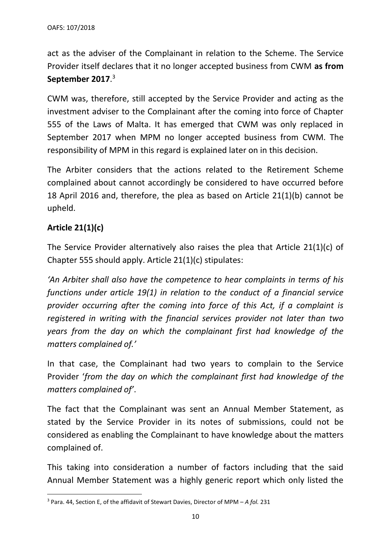act as the adviser of the Complainant in relation to the Scheme. The Service Provider itself declares that it no longer accepted business from CWM **as from September 2017**. 3

CWM was, therefore, still accepted by the Service Provider and acting as the investment adviser to the Complainant after the coming into force of Chapter 555 of the Laws of Malta. It has emerged that CWM was only replaced in September 2017 when MPM no longer accepted business from CWM. The responsibility of MPM in this regard is explained later on in this decision.

The Arbiter considers that the actions related to the Retirement Scheme complained about cannot accordingly be considered to have occurred before 18 April 2016 and, therefore, the plea as based on Article 21(1)(b) cannot be upheld.

# **Article 21(1)(c)**

The Service Provider alternatively also raises the plea that Article 21(1)(c) of Chapter 555 should apply. Article 21(1)(c) stipulates:

*'An Arbiter shall also have the competence to hear complaints in terms of his functions under article 19(1) in relation to the conduct of a financial service provider occurring after the coming into force of this Act, if a complaint is registered in writing with the financial services provider not later than two years from the day on which the complainant first had knowledge of the matters complained of.'*

In that case, the Complainant had two years to complain to the Service Provider '*from the day on which the complainant first had knowledge of the matters complained of'*.

The fact that the Complainant was sent an Annual Member Statement, as stated by the Service Provider in its notes of submissions, could not be considered as enabling the Complainant to have knowledge about the matters complained of.

This taking into consideration a number of factors including that the said Annual Member Statement was a highly generic report which only listed the

<sup>3</sup> Para. 44, Section E, of the affidavit of Stewart Davies, Director of MPM – *A fol.* 231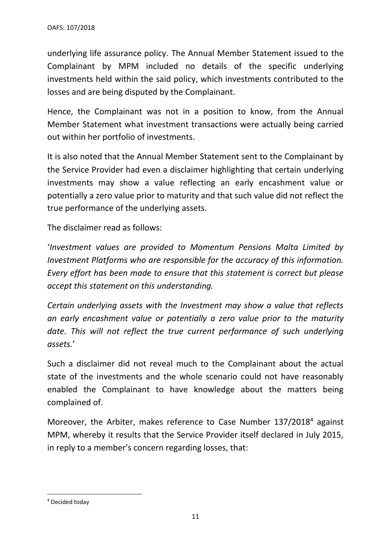underlying life assurance policy. The Annual Member Statement issued to the Complainant by MPM included no details of the specific underlying investments held within the said policy, which investments contributed to the losses and are being disputed by the Complainant.

Hence, the Complainant was not in a position to know, from the Annual Member Statement what investment transactions were actually being carried out within her portfolio of investments.

It is also noted that the Annual Member Statement sent to the Complainant by the Service Provider had even a disclaimer highlighting that certain underlying investments may show a value reflecting an early encashment value or potentially a zero value prior to maturity and that such value did not reflect the true performance of the underlying assets.

The disclaimer read as follows:

'*Investment values are provided to Momentum Pensions Malta Limited by Investment Platforms who are responsible for the accuracy of this information. Every effort has been made to ensure that this statement is correct but please accept this statement on this understanding.*

*Certain underlying assets with the Investment may show a value that reflects an early encashment value or potentially a zero value prior to the maturity*  date. This will not reflect the true current performance of such underlying *assets.*'

Such a disclaimer did not reveal much to the Complainant about the actual state of the investments and the whole scenario could not have reasonably enabled the Complainant to have knowledge about the matters being complained of.

Moreover, the Arbiter, makes reference to Case Number 137/2018<sup>4</sup> against MPM, whereby it results that the Service Provider itself declared in July 2015, in reply to a member's concern regarding losses, that:

<sup>4</sup> Decided today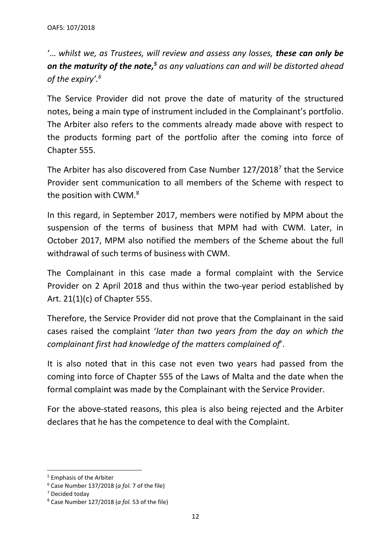'… *whilst we, as Trustees, will review and assess any losses, these can only be on the maturity of the note, <sup>5</sup> as any valuations can and will be distorted ahead of the expiry'. 6*

The Service Provider did not prove the date of maturity of the structured notes, being a main type of instrument included in the Complainant's portfolio. The Arbiter also refers to the comments already made above with respect to the products forming part of the portfolio after the coming into force of Chapter 555.

The Arbiter has also discovered from Case Number  $127/2018<sup>7</sup>$  that the Service Provider sent communication to all members of the Scheme with respect to the position with CWM.<sup>8</sup>

In this regard, in September 2017, members were notified by MPM about the suspension of the terms of business that MPM had with CWM. Later, in October 2017, MPM also notified the members of the Scheme about the full withdrawal of such terms of business with CWM.

The Complainant in this case made a formal complaint with the Service Provider on 2 April 2018 and thus within the two-year period established by Art. 21(1)(c) of Chapter 555.

Therefore, the Service Provider did not prove that the Complainant in the said cases raised the complaint '*later than two years from the day on which the complainant first had knowledge of the matters complained of*'.

It is also noted that in this case not even two years had passed from the coming into force of Chapter 555 of the Laws of Malta and the date when the formal complaint was made by the Complainant with the Service Provider.

For the above-stated reasons, this plea is also being rejected and the Arbiter declares that he has the competence to deal with the Complaint.

<sup>5</sup> Emphasis of the Arbiter

<sup>6</sup> Case Number 137/2018 (*a fol.* 7 of the file)

<sup>7</sup> Decided today

<sup>8</sup> Case Number 127/2018 (*a fol.* 53 of the file)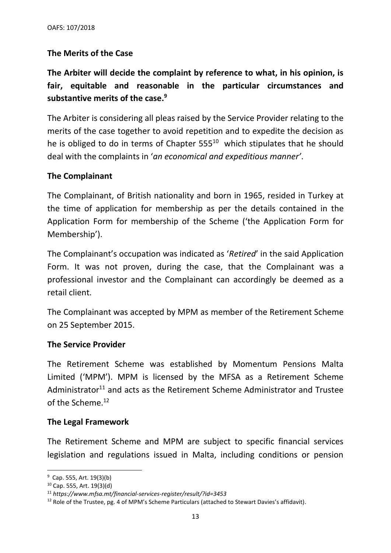# **The Merits of the Case**

**The Arbiter will decide the complaint by reference to what, in his opinion, is fair, equitable and reasonable in the particular circumstances and substantive merits of the case.<sup>9</sup>**

The Arbiter is considering all pleas raised by the Service Provider relating to the merits of the case together to avoid repetition and to expedite the decision as he is obliged to do in terms of Chapter  $555^{10}$  which stipulates that he should deal with the complaints in '*an economical and expeditious manner'*.

# **The Complainant**

The Complainant, of British nationality and born in 1965, resided in Turkey at the time of application for membership as per the details contained in the Application Form for membership of the Scheme ('the Application Form for Membership').

The Complainant's occupation was indicated as '*Retired*' in the said Application Form. It was not proven, during the case, that the Complainant was a professional investor and the Complainant can accordingly be deemed as a retail client.

The Complainant was accepted by MPM as member of the Retirement Scheme on 25 September 2015.

## **The Service Provider**

The Retirement Scheme was established by Momentum Pensions Malta Limited ('MPM'). MPM is licensed by the MFSA as a Retirement Scheme Administrator<sup>11</sup> and acts as the Retirement Scheme Administrator and Trustee of the Scheme. 12

## **The Legal Framework**

The Retirement Scheme and MPM are subject to specific financial services legislation and regulations issued in Malta, including conditions or pension

<sup>&</sup>lt;sup>9</sup> Cap. 555, Art. 19(3)(b)

<sup>10</sup> Cap. 555, Art. 19(3)(d)

<sup>11</sup> *https://www.mfsa.mt/financial-services-register/result/?id=3453*

 $12$  Role of the Trustee, pg. 4 of MPM's Scheme Particulars (attached to Stewart Davies's affidavit).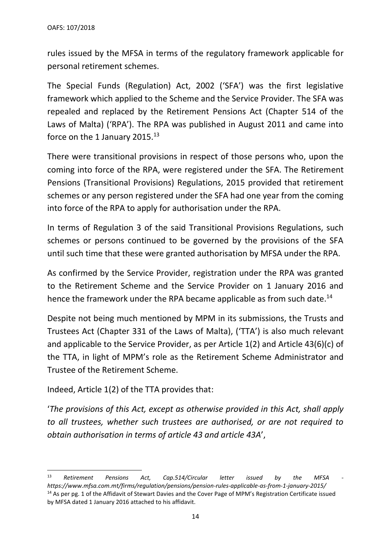rules issued by the MFSA in terms of the regulatory framework applicable for personal retirement schemes.

The Special Funds (Regulation) Act, 2002 ('SFA') was the first legislative framework which applied to the Scheme and the Service Provider. The SFA was repealed and replaced by the Retirement Pensions Act (Chapter 514 of the Laws of Malta) ('RPA'). The RPA was published in August 2011 and came into force on the 1 January 2015.<sup>13</sup>

There were transitional provisions in respect of those persons who, upon the coming into force of the RPA, were registered under the SFA. The Retirement Pensions (Transitional Provisions) Regulations, 2015 provided that retirement schemes or any person registered under the SFA had one year from the coming into force of the RPA to apply for authorisation under the RPA.

In terms of Regulation 3 of the said Transitional Provisions Regulations, such schemes or persons continued to be governed by the provisions of the SFA until such time that these were granted authorisation by MFSA under the RPA.

As confirmed by the Service Provider, registration under the RPA was granted to the Retirement Scheme and the Service Provider on 1 January 2016 and hence the framework under the RPA became applicable as from such date.<sup>14</sup>

Despite not being much mentioned by MPM in its submissions, the Trusts and Trustees Act (Chapter 331 of the Laws of Malta), ('TTA') is also much relevant and applicable to the Service Provider, as per Article 1(2) and Article 43(6)(c) of the TTA, in light of MPM's role as the Retirement Scheme Administrator and Trustee of the Retirement Scheme.

Indeed, Article 1(2) of the TTA provides that:

'*The provisions of this Act, except as otherwise provided in this Act, shall apply to all trustees, whether such trustees are authorised, or are not required to obtain authorisation in terms of article 43 and article 43A*',

<sup>&</sup>lt;sup>13</sup> Retirement Pensions Act, Cap.514/Circular letter issued by the MFSA *https://www.mfsa.com.mt/firms/regulation/pensions/pension-rules-applicable-as-from-1-january-2015/* <sup>14</sup> As per pg. 1 of the Affidavit of Stewart Davies and the Cover Page of MPM's Registration Certificate issued by MFSA dated 1 January 2016 attached to his affidavit.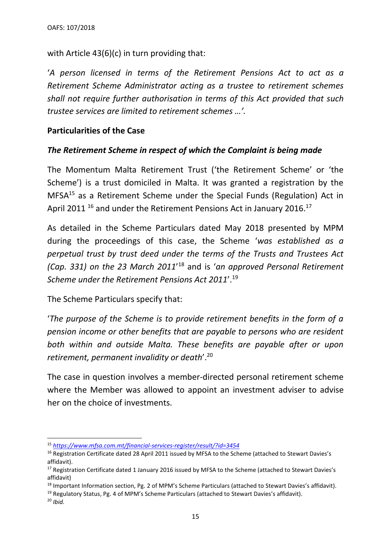with Article 43(6)(c) in turn providing that:

'*A person licensed in terms of the Retirement Pensions Act to act as a Retirement Scheme Administrator acting as a trustee to retirement schemes shall not require further authorisation in terms of this Act provided that such trustee services are limited to retirement schemes …'.*

# **Particularities of the Case**

## *The Retirement Scheme in respect of which the Complaint is being made*

The Momentum Malta Retirement Trust ('the Retirement Scheme' or 'the Scheme') is a trust domiciled in Malta. It was granted a registration by the  $MFSA<sup>15</sup>$  as a Retirement Scheme under the Special Funds (Regulation) Act in April 2011 <sup>16</sup> and under the Retirement Pensions Act in January 2016.<sup>17</sup>

As detailed in the Scheme Particulars dated May 2018 presented by MPM during the proceedings of this case, the Scheme '*was established as a perpetual trust by trust deed under the terms of the Trusts and Trustees Act (Cap. 331) on the 23 March 2011*' <sup>18</sup> and is '*an approved Personal Retirement Scheme under the Retirement Pensions Act 2011*'. 19

The Scheme Particulars specify that:

'*The purpose of the Scheme is to provide retirement benefits in the form of a pension income or other benefits that are payable to persons who are resident both within and outside Malta. These benefits are payable after or upon retirement, permanent invalidity or death*'.<sup>20</sup>

The case in question involves a member-directed personal retirement scheme where the Member was allowed to appoint an investment adviser to advise her on the choice of investments.

<sup>15</sup> *<https://www.mfsa.com.mt/financial-services-register/result/?id=3454>*

<sup>&</sup>lt;sup>16</sup> Registration Certificate dated 28 April 2011 issued by MFSA to the Scheme (attached to Stewart Davies's affidavit).

<sup>&</sup>lt;sup>17</sup> Registration Certificate dated 1 January 2016 issued by MFSA to the Scheme (attached to Stewart Davies's affidavit)

<sup>&</sup>lt;sup>18</sup> Important Information section, Pg. 2 of MPM's Scheme Particulars (attached to Stewart Davies's affidavit).

<sup>19</sup> Regulatory Status, Pg. 4 of MPM's Scheme Particulars (attached to Stewart Davies's affidavit).

<sup>20</sup> *Ibid.*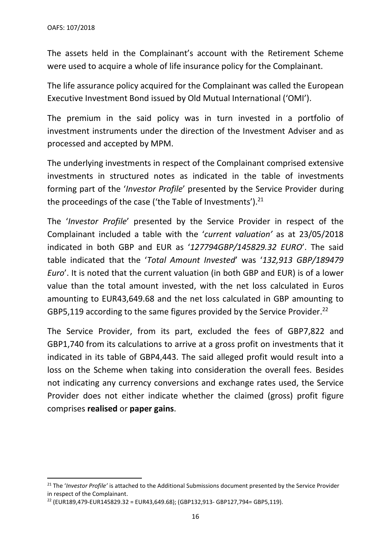The assets held in the Complainant's account with the Retirement Scheme were used to acquire a whole of life insurance policy for the Complainant.

The life assurance policy acquired for the Complainant was called the European Executive Investment Bond issued by Old Mutual International ('OMI').

The premium in the said policy was in turn invested in a portfolio of investment instruments under the direction of the Investment Adviser and as processed and accepted by MPM.

The underlying investments in respect of the Complainant comprised extensive investments in structured notes as indicated in the table of investments forming part of the '*Investor Profile*' presented by the Service Provider during the proceedings of the case ('the Table of Investments').<sup>21</sup>

The '*Investor Profile*' presented by the Service Provider in respect of the Complainant included a table with the '*current valuation'* as at 23/05/2018 indicated in both GBP and EUR as '*127794GBP/145829.32 EURO*'. The said table indicated that the '*Total Amount Invested*' was '*132,913 GBP/189479 Euro*'. It is noted that the current valuation (in both GBP and EUR) is of a lower value than the total amount invested, with the net loss calculated in Euros amounting to EUR43,649.68 and the net loss calculated in GBP amounting to GBP5,119 according to the same figures provided by the Service Provider.<sup>22</sup>

The Service Provider, from its part, excluded the fees of GBP7,822 and GBP1,740 from its calculations to arrive at a gross profit on investments that it indicated in its table of GBP4,443. The said alleged profit would result into a loss on the Scheme when taking into consideration the overall fees. Besides not indicating any currency conversions and exchange rates used, the Service Provider does not either indicate whether the claimed (gross) profit figure comprises **realised** or **paper gains**.

<sup>&</sup>lt;sup>21</sup> The '*Investor Profile'* is attached to the Additional Submissions document presented by the Service Provider in respect of the Complainant.

 $22$  (EUR189,479-EUR145829.32 = EUR43,649.68); (GBP132,913- GBP127,794= GBP5,119).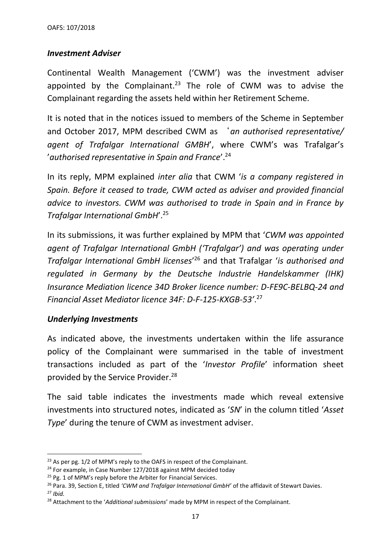## *Investment Adviser*

Continental Wealth Management ('CWM') was the investment adviser appointed by the Complainant.<sup>23</sup> The role of CWM was to advise the Complainant regarding the assets held within her Retirement Scheme.

It is noted that in the notices issued to members of the Scheme in September and October 2017, MPM described CWM as '*an authorised representative/ agent of Trafalgar International GMBH*', where CWM's was Trafalgar's '*authorised representative in Spain and France*'. 24

In its reply, MPM explained *inter alia* that CWM '*is a company registered in Spain. Before it ceased to trade, CWM acted as adviser and provided financial advice to investors. CWM was authorised to trade in Spain and in France by Trafalgar International GmbH*'.<sup>25</sup>

In its submissions, it was further explained by MPM that '*CWM was appointed agent of Trafalgar International GmbH ('Trafalgar') and was operating under Trafalgar International GmbH licenses*' <sup>26</sup> and that Trafalgar '*is authorised and regulated in Germany by the Deutsche Industrie Handelskammer (IHK) Insurance Mediation licence 34D Broker licence number: D-FE9C-BELBQ-24 and Financial Asset Mediator licence 34F: D-F-125-KXGB-53'*. 27

# *Underlying Investments*

As indicated above, the investments undertaken within the life assurance policy of the Complainant were summarised in the table of investment transactions included as part of the '*Investor Profile*' information sheet provided by the Service Provider.<sup>28</sup>

The said table indicates the investments made which reveal extensive investments into structured notes, indicated as '*SN*' in the column titled '*Asset Type*' during the tenure of CWM as investment adviser.

<sup>&</sup>lt;sup>23</sup> As per pg. 1/2 of MPM's reply to the OAFS in respect of the Complainant.

 $24$  For example, in Case Number 127/2018 against MPM decided today

<sup>&</sup>lt;sup>25</sup> Pg. 1 of MPM's reply before the Arbiter for Financial Services.

<sup>26</sup> Para. 39, Section E, titled *'CWM and Trafalgar International GmbH'* of the affidavit of Stewart Davies. <sup>27</sup> *Ibid.*

<sup>28</sup> Attachment to the '*Additional submissions*' made by MPM in respect of the Complainant.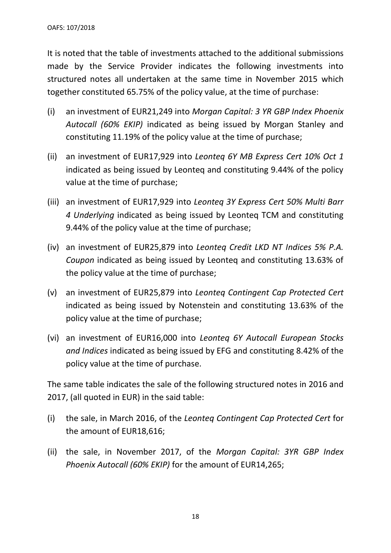It is noted that the table of investments attached to the additional submissions made by the Service Provider indicates the following investments into structured notes all undertaken at the same time in November 2015 which together constituted 65.75% of the policy value, at the time of purchase:

- (i) an investment of EUR21,249 into *Morgan Capital: 3 YR GBP Index Phoenix Autocall (60% EKIP)* indicated as being issued by Morgan Stanley and constituting 11.19% of the policy value at the time of purchase;
- (ii) an investment of EUR17,929 into *Leonteq 6Y MB Express Cert 10% Oct 1* indicated as being issued by Leonteq and constituting 9.44% of the policy value at the time of purchase;
- (iii) an investment of EUR17,929 into *Leonteq 3Y Express Cert 50% Multi Barr 4 Underlying* indicated as being issued by Leonteq TCM and constituting 9.44% of the policy value at the time of purchase;
- (iv) an investment of EUR25,879 into *Leonteq Credit LKD NT Indices 5% P.A. Coupon* indicated as being issued by Leonteq and constituting 13.63% of the policy value at the time of purchase;
- (v) an investment of EUR25,879 into *Leonteq Contingent Cap Protected Cert* indicated as being issued by Notenstein and constituting 13.63% of the policy value at the time of purchase;
- (vi) an investment of EUR16,000 into *Leonteq 6Y Autocall European Stocks and Indices* indicated as being issued by EFG and constituting 8.42% of the policy value at the time of purchase.

The same table indicates the sale of the following structured notes in 2016 and 2017, (all quoted in EUR) in the said table:

- (i) the sale, in March 2016, of the *Leonteq Contingent Cap Protected Cert* for the amount of EUR18,616;
- (ii) the sale, in November 2017, of the *Morgan Capital: 3YR GBP Index Phoenix Autocall (60% EKIP)* for the amount of EUR14,265;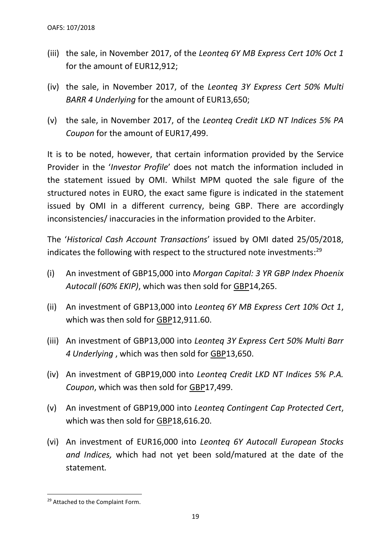- (iii) the sale, in November 2017, of the *Leonteq 6Y MB Express Cert 10% Oct 1* for the amount of EUR12,912;
- (iv) the sale, in November 2017, of the *Leonteq 3Y Express Cert 50% Multi BARR 4 Underlying* for the amount of EUR13,650;
- (v) the sale, in November 2017, of the *Leonteq Credit LKD NT Indices 5% PA Coupon* for the amount of EUR17,499.

It is to be noted, however, that certain information provided by the Service Provider in the '*Investor Profile*' does not match the information included in the statement issued by OMI. Whilst MPM quoted the sale figure of the structured notes in EURO, the exact same figure is indicated in the statement issued by OMI in a different currency, being GBP. There are accordingly inconsistencies/ inaccuracies in the information provided to the Arbiter.

The '*Historical Cash Account Transactions*' issued by OMI dated 25/05/2018, indicates the following with respect to the structured note investments:<sup>29</sup>

- (i) An investment of GBP15,000 into *Morgan Capital: 3 YR GBP Index Phoenix Autocall (60% EKIP)*, which was then sold for GBP14,265.
- (ii) An investment of GBP13,000 into *Leonteq 6Y MB Express Cert 10% Oct 1*, which was then sold for GBP12,911.60.
- (iii) An investment of GBP13,000 into *Leonteq 3Y Express Cert 50% Multi Barr 4 Underlying* , which was then sold for GBP13,650.
- (iv) An investment of GBP19,000 into *Leonteq Credit LKD NT Indices 5% P.A. Coupon*, which was then sold for GBP17,499.
- (v) An investment of GBP19,000 into *Leonteq Contingent Cap Protected Cert*, which was then sold for GBP18,616.20.
- (vi) An investment of EUR16,000 into *Leonteq 6Y Autocall European Stocks and Indices,* which had not yet been sold/matured at the date of the statement*.*

<sup>&</sup>lt;sup>29</sup> Attached to the Complaint Form.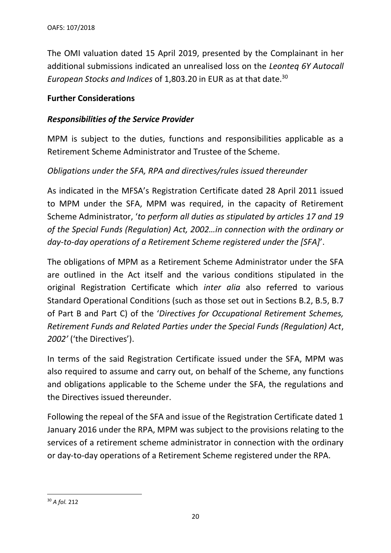The OMI valuation dated 15 April 2019, presented by the Complainant in her additional submissions indicated an unrealised loss on the *Leonteq 6Y Autocall European Stocks and Indices* of 1,803.20 in EUR as at that date. 30

## **Further Considerations**

## *Responsibilities of the Service Provider*

MPM is subject to the duties, functions and responsibilities applicable as a Retirement Scheme Administrator and Trustee of the Scheme.

# *Obligations under the SFA, RPA and directives/rules issued thereunder*

As indicated in the MFSA's Registration Certificate dated 28 April 2011 issued to MPM under the SFA, MPM was required, in the capacity of Retirement Scheme Administrator, '*to perform all duties as stipulated by articles 17 and 19 of the Special Funds (Regulation) Act, 2002…in connection with the ordinary or day-to-day operations of a Retirement Scheme registered under the [SFA]*'.

The obligations of MPM as a Retirement Scheme Administrator under the SFA are outlined in the Act itself and the various conditions stipulated in the original Registration Certificate which *inter alia* also referred to various Standard Operational Conditions (such as those set out in Sections B.2, B.5, B.7 of Part B and Part C) of the '*Directives for Occupational Retirement Schemes, Retirement Funds and Related Parties under the Special Funds (Regulation) Act*, *2002'* ('the Directives').

In terms of the said Registration Certificate issued under the SFA, MPM was also required to assume and carry out, on behalf of the Scheme, any functions and obligations applicable to the Scheme under the SFA, the regulations and the Directives issued thereunder.

Following the repeal of the SFA and issue of the Registration Certificate dated 1 January 2016 under the RPA, MPM was subject to the provisions relating to the services of a retirement scheme administrator in connection with the ordinary or day-to-day operations of a Retirement Scheme registered under the RPA.

<sup>30</sup> *A fol.* 212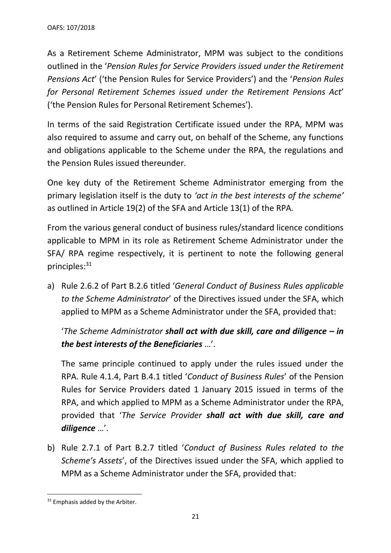As a Retirement Scheme Administrator, MPM was subject to the conditions outlined in the '*Pension Rules for Service Providers issued under the Retirement Pensions Act*' ('the Pension Rules for Service Providers') and the '*Pension Rules for Personal Retirement Schemes issued under the Retirement Pensions Act*' ('the Pension Rules for Personal Retirement Schemes').

In terms of the said Registration Certificate issued under the RPA, MPM was also required to assume and carry out, on behalf of the Scheme, any functions and obligations applicable to the Scheme under the RPA, the regulations and the Pension Rules issued thereunder.

One key duty of the Retirement Scheme Administrator emerging from the primary legislation itself is the duty to *'act in the best interests of the scheme'* as outlined in Article 19(2) of the SFA and Article 13(1) of the RPA*.* 

From the various general conduct of business rules/standard licence conditions applicable to MPM in its role as Retirement Scheme Administrator under the SFA/ RPA regime respectively, it is pertinent to note the following general principles: 31

a) Rule 2.6.2 of Part B.2.6 titled '*General Conduct of Business Rules applicable to the Scheme Administrator*' of the Directives issued under the SFA, which applied to MPM as a Scheme Administrator under the SFA, provided that:

'*The Scheme Administrator shall act with due skill, care and diligence – in the best interests of the Beneficiaries* …'.

The same principle continued to apply under the rules issued under the RPA. Rule 4.1.4, Part B.4.1 titled '*Conduct of Business Rules*' of the Pension Rules for Service Providers dated 1 January 2015 issued in terms of the RPA, and which applied to MPM as a Scheme Administrator under the RPA, provided that '*The Service Provider shall act with due skill, care and diligence* …'.

b) Rule 2.7.1 of Part B.2.7 titled '*Conduct of Business Rules related to the Scheme's Assets*', of the Directives issued under the SFA, which applied to MPM as a Scheme Administrator under the SFA, provided that:

<sup>&</sup>lt;sup>31</sup> Emphasis added by the Arbiter.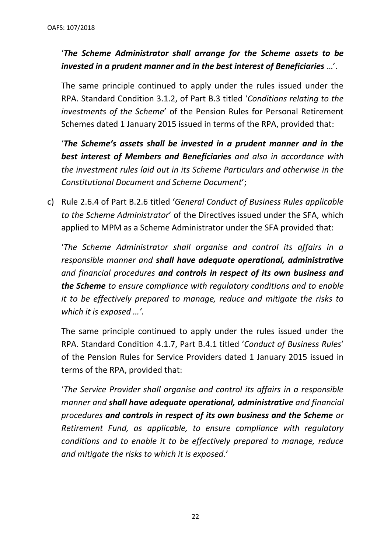# '*The Scheme Administrator shall arrange for the Scheme assets to be invested in a prudent manner and in the best interest of Beneficiaries* …'.

The same principle continued to apply under the rules issued under the RPA. Standard Condition 3.1.2, of Part B.3 titled '*Conditions relating to the investments of the Scheme*' of the Pension Rules for Personal Retirement Schemes dated 1 January 2015 issued in terms of the RPA, provided that:

'*The Scheme's assets shall be invested in a prudent manner and in the best interest of Members and Beneficiaries and also in accordance with the investment rules laid out in its Scheme Particulars and otherwise in the Constitutional Document and Scheme Document*';

c) Rule 2.6.4 of Part B.2.6 titled '*General Conduct of Business Rules applicable to the Scheme Administrator*' of the Directives issued under the SFA, which applied to MPM as a Scheme Administrator under the SFA provided that:

'*The Scheme Administrator shall organise and control its affairs in a responsible manner and shall have adequate operational, administrative and financial procedures and controls in respect of its own business and the Scheme to ensure compliance with regulatory conditions and to enable it to be effectively prepared to manage, reduce and mitigate the risks to which it is exposed …'.*

The same principle continued to apply under the rules issued under the RPA. Standard Condition 4.1.7, Part B.4.1 titled '*Conduct of Business Rules*' of the Pension Rules for Service Providers dated 1 January 2015 issued in terms of the RPA, provided that:

'*The Service Provider shall organise and control its affairs in a responsible manner and shall have adequate operational, administrative and financial procedures and controls in respect of its own business and the Scheme or Retirement Fund, as applicable, to ensure compliance with regulatory conditions and to enable it to be effectively prepared to manage, reduce and mitigate the risks to which it is exposed*.'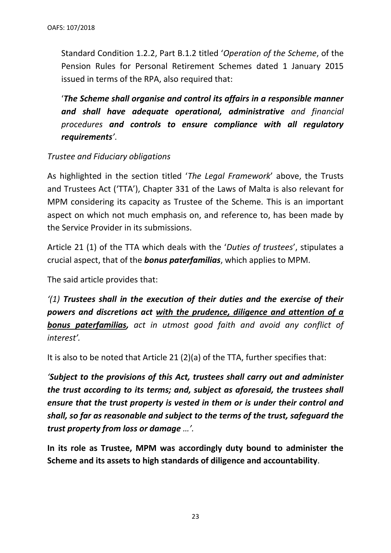Standard Condition 1.2.2, Part B.1.2 titled '*Operation of the Scheme*, of the Pension Rules for Personal Retirement Schemes dated 1 January 2015 issued in terms of the RPA, also required that:

'*The Scheme shall organise and control its affairs in a responsible manner and shall have adequate operational, administrative and financial procedures and controls to ensure compliance with all regulatory requirements'*.

# *Trustee and Fiduciary obligations*

As highlighted in the section titled '*The Legal Framework*' above, the Trusts and Trustees Act ('TTA'), Chapter 331 of the Laws of Malta is also relevant for MPM considering its capacity as Trustee of the Scheme. This is an important aspect on which not much emphasis on, and reference to, has been made by the Service Provider in its submissions.

Article 21 (1) of the TTA which deals with the '*Duties of trustees*', stipulates a crucial aspect, that of the *bonus paterfamilias*, which applies to MPM.

The said article provides that:

*'(1) Trustees shall in the execution of their duties and the exercise of their powers and discretions act with the prudence, diligence and attention of a bonus paterfamilias, act in utmost good faith and avoid any conflict of interest'.* 

It is also to be noted that Article 21 (2)(a) of the TTA, further specifies that:

*'Subject to the provisions of this Act, trustees shall carry out and administer the trust according to its terms; and, subject as aforesaid, the trustees shall ensure that the trust property is vested in them or is under their control and shall, so far as reasonable and subject to the terms of the trust, safeguard the trust property from loss or damage …'.* 

**In its role as Trustee, MPM was accordingly duty bound to administer the Scheme and its assets to high standards of diligence and accountability**.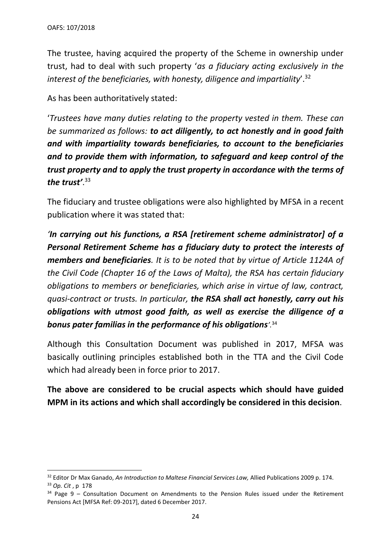The trustee, having acquired the property of the Scheme in ownership under trust, had to deal with such property '*as a fiduciary acting exclusively in the interest of the beneficiaries, with honesty, diligence and impartiality*'.<sup>32</sup>

As has been authoritatively stated:

'*Trustees have many duties relating to the property vested in them. These can be summarized as follows: to act diligently, to act honestly and in good faith and with impartiality towards beneficiaries, to account to the beneficiaries and to provide them with information, to safeguard and keep control of the trust property and to apply the trust property in accordance with the terms of the trust'*. 33

The fiduciary and trustee obligations were also highlighted by MFSA in a recent publication where it was stated that:

*'In carrying out his functions, a RSA [retirement scheme administrator] of a Personal Retirement Scheme has a fiduciary duty to protect the interests of members and beneficiaries. It is to be noted that by virtue of Article 1124A of the Civil Code (Chapter 16 of the Laws of Malta), the RSA has certain fiduciary obligations to members or beneficiaries, which arise in virtue of law, contract, quasi-contract or trusts. In particular, the RSA shall act honestly, carry out his obligations with utmost good faith, as well as exercise the diligence of a bonus pater familias in the performance of his obligations'.*<sup>34</sup>

Although this Consultation Document was published in 2017, MFSA was basically outlining principles established both in the TTA and the Civil Code which had already been in force prior to 2017.

**The above are considered to be crucial aspects which should have guided MPM in its actions and which shall accordingly be considered in this decision**.

<sup>32</sup> Editor Dr Max Ganado, *An Introduction to Maltese Financial Services Law,* Allied Publications 2009 p. 174. <sup>33</sup> *Op. Cit* , p 178

 $34$  Page 9 – Consultation Document on Amendments to the Pension Rules issued under the Retirement Pensions Act [MFSA Ref: 09-2017], dated 6 December 2017.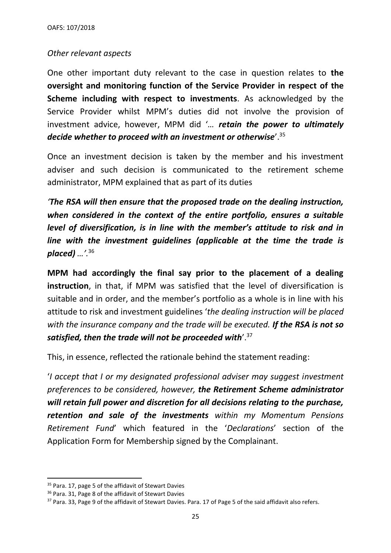## *Other relevant aspects*

One other important duty relevant to the case in question relates to **the oversight and monitoring function of the Service Provider in respect of the Scheme including with respect to investments**. As acknowledged by the Service Provider whilst MPM's duties did not involve the provision of investment advice, however, MPM did '*… retain the power to ultimately decide whether to proceed with an investment or otherwise*'.<sup>35</sup>

Once an investment decision is taken by the member and his investment adviser and such decision is communicated to the retirement scheme administrator, MPM explained that as part of its duties

*'The RSA will then ensure that the proposed trade on the dealing instruction, when considered in the context of the entire portfolio, ensures a suitable level of diversification, is in line with the member's attitude to risk and in line with the investment guidelines (applicable at the time the trade is placed) …'.*<sup>36</sup>

**MPM had accordingly the final say prior to the placement of a dealing instruction**, in that, if MPM was satisfied that the level of diversification is suitable and in order, and the member's portfolio as a whole is in line with his attitude to risk and investment guidelines '*the dealing instruction will be placed with the insurance company and the trade will be executed. If the RSA is not so satisfied, then the trade will not be proceeded with*'.<sup>37</sup>

This, in essence, reflected the rationale behind the statement reading:

'*I accept that I or my designated professional adviser may suggest investment preferences to be considered, however, the Retirement Scheme administrator will retain full power and discretion for all decisions relating to the purchase, retention and sale of the investments within my Momentum Pensions Retirement Fund*' which featured in the '*Declarations*' section of the Application Form for Membership signed by the Complainant.

<sup>&</sup>lt;sup>35</sup> Para. 17, page 5 of the affidavit of Stewart Davies

<sup>36</sup> Para. 31, Page 8 of the affidavit of Stewart Davies

<sup>&</sup>lt;sup>37</sup> Para. 33, Page 9 of the affidavit of Stewart Davies. Para. 17 of Page 5 of the said affidavit also refers.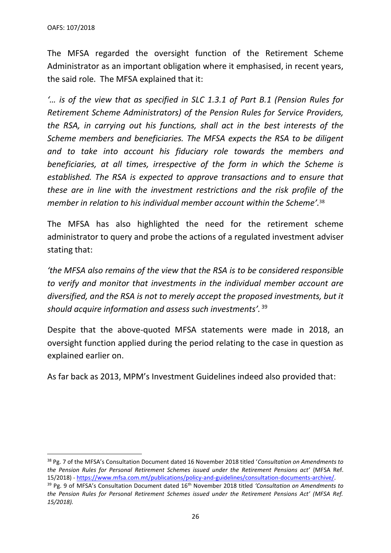The MFSA regarded the oversight function of the Retirement Scheme Administrator as an important obligation where it emphasised, in recent years, the said role. The MFSA explained that it:

*'… is of the view that as specified in SLC 1.3.1 of Part B.1 (Pension Rules for Retirement Scheme Administrators) of the Pension Rules for Service Providers, the RSA, in carrying out his functions, shall act in the best interests of the Scheme members and beneficiaries. The MFSA expects the RSA to be diligent and to take into account his fiduciary role towards the members and beneficiaries, at all times, irrespective of the form in which the Scheme is established. The RSA is expected to approve transactions and to ensure that these are in line with the investment restrictions and the risk profile of the member in relation to his individual member account within the Scheme'.*<sup>38</sup>

The MFSA has also highlighted the need for the retirement scheme administrator to query and probe the actions of a regulated investment adviser stating that:

*'the MFSA also remains of the view that the RSA is to be considered responsible to verify and monitor that investments in the individual member account are*  diversified, and the RSA is not to merely accept the proposed investments, but it *should acquire information and assess such investments'.* <sup>39</sup>

Despite that the above-quoted MFSA statements were made in 2018, an oversight function applied during the period relating to the case in question as explained earlier on.

As far back as 2013, MPM's Investment Guidelines indeed also provided that:

<sup>38</sup> Pg. 7 of the MFSA's Consultation Document dated 16 November 2018 titled '*Consultation on Amendments to the Pension Rules for Personal Retirement Schemes issued under the Retirement Pensions act*' (MFSA Ref. 15/2018) - [https://www.mfsa.com.mt/publications/policy-and-guidelines/consultation-documents-archive/.](https://www.mfsa.com.mt/publications/policy-and-guidelines/consultation-documents-archive/)

<sup>39</sup> Pg. 9 of MFSA's Consultation Document dated 16th November 2018 titled *'Consultation on Amendments to the Pension Rules for Personal Retirement Schemes issued under the Retirement Pensions Act' (MFSA Ref. 15/2018).*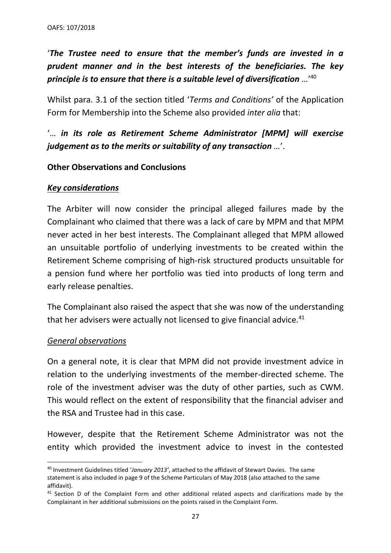'*The Trustee need to ensure that the member's funds are invested in a prudent manner and in the best interests of the beneficiaries. The key principle is to ensure that there is a suitable level of diversification …*' 40

Whilst para. 3.1 of the section titled '*Terms and Conditions'* of the Application Form for Membership into the Scheme also provided *inter alia* that:

'… *in its role as Retirement Scheme Administrator [MPM] will exercise judgement as to the merits or suitability of any transaction …*'.

## **Other Observations and Conclusions**

## *Key considerations*

The Arbiter will now consider the principal alleged failures made by the Complainant who claimed that there was a lack of care by MPM and that MPM never acted in her best interests. The Complainant alleged that MPM allowed an unsuitable portfolio of underlying investments to be created within the Retirement Scheme comprising of high-risk structured products unsuitable for a pension fund where her portfolio was tied into products of long term and early release penalties.

The Complainant also raised the aspect that she was now of the understanding that her advisers were actually not licensed to give financial advice. $41$ 

## *General observations*

On a general note, it is clear that MPM did not provide investment advice in relation to the underlying investments of the member-directed scheme. The role of the investment adviser was the duty of other parties, such as CWM. This would reflect on the extent of responsibility that the financial adviser and the RSA and Trustee had in this case.

However, despite that the Retirement Scheme Administrator was not the entity which provided the investment advice to invest in the contested

<sup>40</sup> Investment Guidelines titled '*January 2013'*, attached to the affidavit of Stewart Davies. The same statement is also included in page 9 of the Scheme Particulars of May 2018 (also attached to the same affidavit).

<sup>&</sup>lt;sup>41</sup> Section D of the Complaint Form and other additional related aspects and clarifications made by the Complainant in her additional submissions on the points raised in the Complaint Form.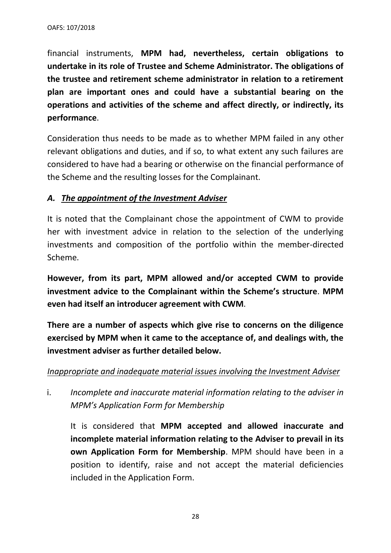financial instruments, **MPM had, nevertheless, certain obligations to undertake in its role of Trustee and Scheme Administrator. The obligations of the trustee and retirement scheme administrator in relation to a retirement plan are important ones and could have a substantial bearing on the operations and activities of the scheme and affect directly, or indirectly, its performance**.

Consideration thus needs to be made as to whether MPM failed in any other relevant obligations and duties, and if so, to what extent any such failures are considered to have had a bearing or otherwise on the financial performance of the Scheme and the resulting losses for the Complainant.

# *A. The appointment of the Investment Adviser*

It is noted that the Complainant chose the appointment of CWM to provide her with investment advice in relation to the selection of the underlying investments and composition of the portfolio within the member-directed Scheme.

**However, from its part, MPM allowed and/or accepted CWM to provide investment advice to the Complainant within the Scheme's structure**. **MPM even had itself an introducer agreement with CWM**.

**There are a number of aspects which give rise to concerns on the diligence exercised by MPM when it came to the acceptance of, and dealings with, the investment adviser as further detailed below.** 

# *Inappropriate and inadequate material issues involving the Investment Adviser*

i. *Incomplete and inaccurate material information relating to the adviser in MPM's Application Form for Membership*

It is considered that **MPM accepted and allowed inaccurate and incomplete material information relating to the Adviser to prevail in its own Application Form for Membership**. MPM should have been in a position to identify, raise and not accept the material deficiencies included in the Application Form.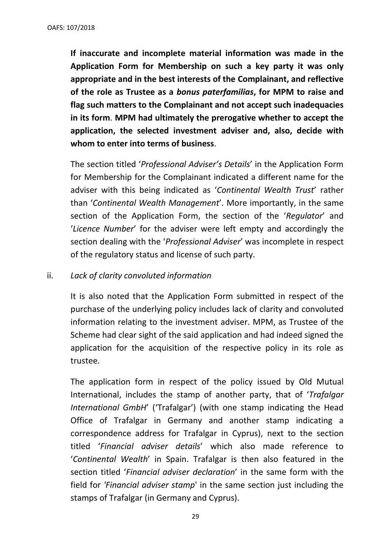**If inaccurate and incomplete material information was made in the Application Form for Membership on such a key party it was only appropriate and in the best interests of the Complainant, and reflective of the role as Trustee as a** *bonus paterfamilias***, for MPM to raise and flag such matters to the Complainant and not accept such inadequacies in its form**. **MPM had ultimately the prerogative whether to accept the application, the selected investment adviser and, also, decide with whom to enter into terms of business**.

The section titled '*Professional Adviser's Details*' in the Application Form for Membership for the Complainant indicated a different name for the adviser with this being indicated as '*Continental Wealth Trust*' rather than '*Continental Wealth Management*'. More importantly, in the same section of the Application Form, the section of the '*Regulator*' and '*Licence Number*' for the adviser were left empty and accordingly the section dealing with the '*Professional Adviser*' was incomplete in respect of the regulatory status and license of such party.

#### ii. *Lack of clarity convoluted information*

It is also noted that the Application Form submitted in respect of the purchase of the underlying policy includes lack of clarity and convoluted information relating to the investment adviser. MPM, as Trustee of the Scheme had clear sight of the said application and had indeed signed the application for the acquisition of the respective policy in its role as trustee.

The application form in respect of the policy issued by Old Mutual International, includes the stamp of another party, that of '*Trafalgar International GmbH*' ('Trafalgar') (with one stamp indicating the Head Office of Trafalgar in Germany and another stamp indicating a correspondence address for Trafalgar in Cyprus), next to the section titled '*Financial adviser details*' which also made reference to '*Continental Wealth*' in Spain. Trafalgar is then also featured in the section titled '*Financial adviser declaration*' in the same form with the field for *'Financial adviser stamp*' in the same section just including the stamps of Trafalgar (in Germany and Cyprus).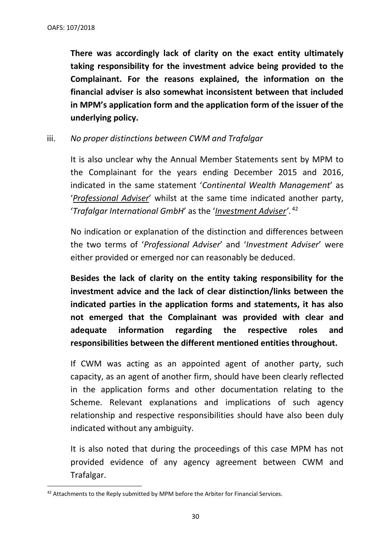**There was accordingly lack of clarity on the exact entity ultimately taking responsibility for the investment advice being provided to the Complainant. For the reasons explained, the information on the financial adviser is also somewhat inconsistent between that included in MPM's application form and the application form of the issuer of the underlying policy.** 

iii. *No proper distinctions between CWM and Trafalgar*

It is also unclear why the Annual Member Statements sent by MPM to the Complainant for the years ending December 2015 and 2016, indicated in the same statement '*Continental Wealth Management*' as '*Professional Adviser*' whilst at the same time indicated another party, '*Trafalgar International GmbH*' as the '*Investment Adviser'*. 42

No indication or explanation of the distinction and differences between the two terms of '*Professional Adviser*' and '*Investment Adviser*' were either provided or emerged nor can reasonably be deduced.

**Besides the lack of clarity on the entity taking responsibility for the investment advice and the lack of clear distinction/links between the indicated parties in the application forms and statements, it has also not emerged that the Complainant was provided with clear and adequate information regarding the respective roles and responsibilities between the different mentioned entities throughout.**

If CWM was acting as an appointed agent of another party, such capacity, as an agent of another firm, should have been clearly reflected in the application forms and other documentation relating to the Scheme. Relevant explanations and implications of such agency relationship and respective responsibilities should have also been duly indicated without any ambiguity.

It is also noted that during the proceedings of this case MPM has not provided evidence of any agency agreement between CWM and Trafalgar.

<sup>&</sup>lt;sup>42</sup> Attachments to the Reply submitted by MPM before the Arbiter for Financial Services.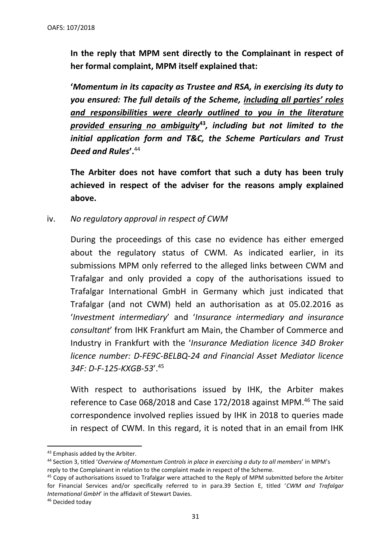**In the reply that MPM sent directly to the Complainant in respect of her formal complaint, MPM itself explained that:**

**'***Momentum in its capacity as Trustee and RSA, in exercising its duty to you ensured: The full details of the Scheme, including all parties' roles and responsibilities were clearly outlined to you in the literature provided ensuring no ambiguity***<sup>43</sup>***, including but not limited to the initial application form and T&C, the Scheme Particulars and Trust Deed and Rules***'.**<sup>44</sup>

**The Arbiter does not have comfort that such a duty has been truly achieved in respect of the adviser for the reasons amply explained above.**

iv. *No regulatory approval in respect of CWM*

During the proceedings of this case no evidence has either emerged about the regulatory status of CWM. As indicated earlier, in its submissions MPM only referred to the alleged links between CWM and Trafalgar and only provided a copy of the authorisations issued to Trafalgar International GmbH in Germany which just indicated that Trafalgar (and not CWM) held an authorisation as at 05.02.2016 as '*Investment intermediary*' and '*Insurance intermediary and insurance consultant*' from IHK Frankfurt am Main, the Chamber of Commerce and Industry in Frankfurt with the '*Insurance Mediation licence 34D Broker licence number: D-FE9C-BELBQ-24 and Financial Asset Mediator licence 34F: D-F-125-KXGB-53*'.<sup>45</sup>

With respect to authorisations issued by IHK, the Arbiter makes reference to Case 068/2018 and Case 172/2018 against MPM.<sup>46</sup> The said correspondence involved replies issued by IHK in 2018 to queries made in respect of CWM. In this regard, it is noted that in an email from IHK

<sup>43</sup> Emphasis added by the Arbiter.

<sup>44</sup> Section 3, titled '*Overview of Momentum Controls in place in exercising a duty to all members*' in MPM's reply to the Complainant in relation to the complaint made in respect of the Scheme.

<sup>&</sup>lt;sup>45</sup> Copy of authorisations issued to Trafalgar were attached to the Reply of MPM submitted before the Arbiter for Financial Services and/or specifically referred to in para.39 Section E, titled '*CWM and Trafalgar International GmbH*' in the affidavit of Stewart Davies.

<sup>46</sup> Decided today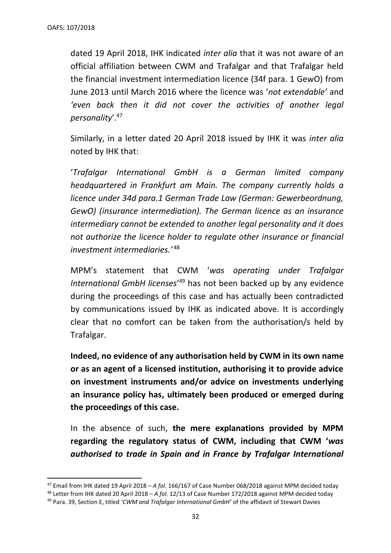dated 19 April 2018, IHK indicated *inter alia* that it was not aware of an official affiliation between CWM and Trafalgar and that Trafalgar held the financial investment intermediation licence (34f para. 1 GewO) from June 2013 until March 2016 where the licence was '*not extendable'* and *'even back then it did not cover the activities of another legal personality*'.<sup>47</sup>

Similarly, in a letter dated 20 April 2018 issued by IHK it was *inter alia* noted by IHK that:

'*Trafalgar International GmbH is a German limited company headquartered in Frankfurt am Main. The company currently holds a licence under 34d para.1 German Trade Law (German: Gewerbeordnung, GewO) (insurance intermediation). The German licence as an insurance intermediary cannot be extended to another legal personality and it does not authorize the licence holder to regulate other insurance or financial investment intermediaries.'* <sup>48</sup>

MPM's statement that CWM '*was operating under Trafalgar International GmbH licenses*' <sup>49</sup> has not been backed up by any evidence during the proceedings of this case and has actually been contradicted by communications issued by IHK as indicated above. It is accordingly clear that no comfort can be taken from the authorisation/s held by Trafalgar.

**Indeed, no evidence of any authorisation held by CWM in its own name or as an agent of a licensed institution, authorising it to provide advice on investment instruments and/or advice on investments underlying an insurance policy has, ultimately been produced or emerged during the proceedings of this case.** 

In the absence of such, **the mere explanations provided by MPM regarding the regulatory status of CWM, including that CWM '***was authorised to trade in Spain and in France by Trafalgar International* 

<sup>47</sup> Email from IHK dated 19 April 2018 – *A fol.* 166/167 of Case Number 068/2018 against MPM decided today

<sup>48</sup> Letter from IHK dated 20 April 2018 – *A fol.* 12/13 of Case Number 172/2018 against MPM decided today

<sup>49</sup> Para. 39, Section E, titled *'CWM and Trafalgar International GmbH'* of the affidavit of Stewart Davies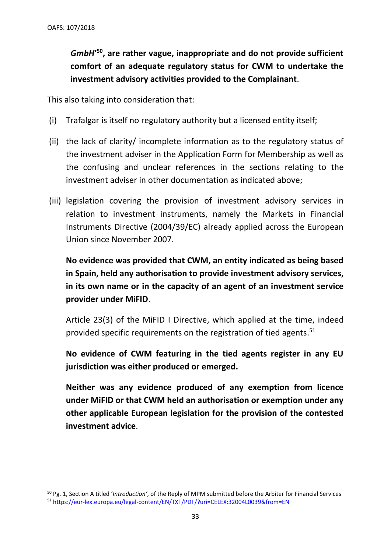*GmbH***' <sup>50</sup>, are rather vague, inappropriate and do not provide sufficient comfort of an adequate regulatory status for CWM to undertake the investment advisory activities provided to the Complainant**.

This also taking into consideration that:

- (i) Trafalgar is itself no regulatory authority but a licensed entity itself;
- (ii) the lack of clarity/ incomplete information as to the regulatory status of the investment adviser in the Application Form for Membership as well as the confusing and unclear references in the sections relating to the investment adviser in other documentation as indicated above;
- (iii) legislation covering the provision of investment advisory services in relation to investment instruments, namely the Markets in Financial Instruments Directive (2004/39/EC) already applied across the European Union since November 2007.

**No evidence was provided that CWM, an entity indicated as being based in Spain, held any authorisation to provide investment advisory services, in its own name or in the capacity of an agent of an investment service provider under MiFID**.

Article 23(3) of the MiFID I Directive, which applied at the time, indeed provided specific requirements on the registration of tied agents.<sup>51</sup>

**No evidence of CWM featuring in the tied agents register in any EU jurisdiction was either produced or emerged.** 

**Neither was any evidence produced of any exemption from licence under MiFID or that CWM held an authorisation or exemption under any other applicable European legislation for the provision of the contested investment advice**.

<sup>50</sup> Pg. 1, Section A titled '*Introduction'*, of the Reply of MPM submitted before the Arbiter for Financial Services <sup>51</sup> <https://eur-lex.europa.eu/legal-content/EN/TXT/PDF/?uri=CELEX:32004L0039&from=EN>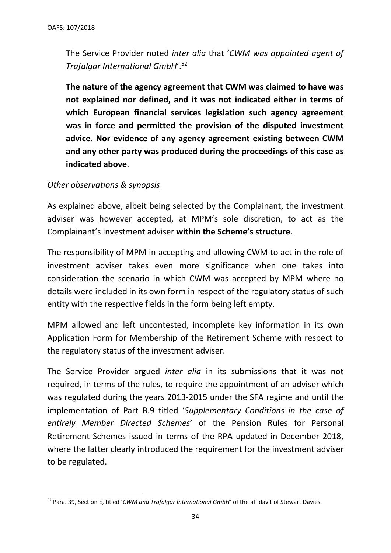The Service Provider noted *inter alia* that '*CWM was appointed agent of Trafalgar International GmbH*'.<sup>52</sup>

**The nature of the agency agreement that CWM was claimed to have was not explained nor defined, and it was not indicated either in terms of which European financial services legislation such agency agreement was in force and permitted the provision of the disputed investment advice. Nor evidence of any agency agreement existing between CWM and any other party was produced during the proceedings of this case as indicated above**.

## *Other observations & synopsis*

As explained above, albeit being selected by the Complainant, the investment adviser was however accepted, at MPM's sole discretion, to act as the Complainant's investment adviser **within the Scheme's structure**.

The responsibility of MPM in accepting and allowing CWM to act in the role of investment adviser takes even more significance when one takes into consideration the scenario in which CWM was accepted by MPM where no details were included in its own form in respect of the regulatory status of such entity with the respective fields in the form being left empty.

MPM allowed and left uncontested, incomplete key information in its own Application Form for Membership of the Retirement Scheme with respect to the regulatory status of the investment adviser.

The Service Provider argued *inter alia* in its submissions that it was not required, in terms of the rules, to require the appointment of an adviser which was regulated during the years 2013-2015 under the SFA regime and until the implementation of Part B.9 titled '*Supplementary Conditions in the case of entirely Member Directed Schemes*' of the Pension Rules for Personal Retirement Schemes issued in terms of the RPA updated in December 2018, where the latter clearly introduced the requirement for the investment adviser to be regulated.

<sup>52</sup> Para. 39, Section E, titled '*CWM and Trafalgar International GmbH'* of the affidavit of Stewart Davies.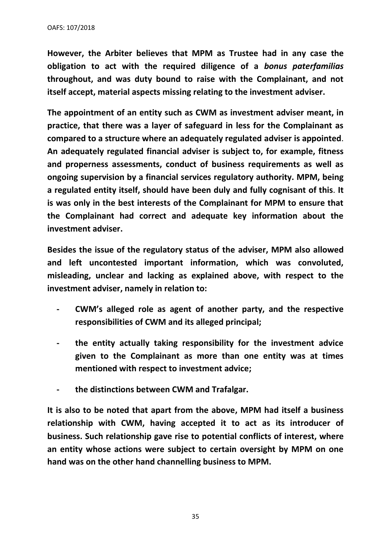**However, the Arbiter believes that MPM as Trustee had in any case the obligation to act with the required diligence of a** *bonus paterfamilias*  **throughout, and was duty bound to raise with the Complainant, and not itself accept, material aspects missing relating to the investment adviser.**

**The appointment of an entity such as CWM as investment adviser meant, in practice, that there was a layer of safeguard in less for the Complainant as compared to a structure where an adequately regulated adviser is appointed**. **An adequately regulated financial adviser is subject to, for example, fitness and properness assessments, conduct of business requirements as well as ongoing supervision by a financial services regulatory authority. MPM, being a regulated entity itself, should have been duly and fully cognisant of this**. **It is was only in the best interests of the Complainant for MPM to ensure that the Complainant had correct and adequate key information about the investment adviser.**

**Besides the issue of the regulatory status of the adviser, MPM also allowed and left uncontested important information, which was convoluted, misleading, unclear and lacking as explained above, with respect to the investment adviser, namely in relation to:**

- **- CWM's alleged role as agent of another party, and the respective responsibilities of CWM and its alleged principal;**
- **- the entity actually taking responsibility for the investment advice given to the Complainant as more than one entity was at times mentioned with respect to investment advice;**
- **- the distinctions between CWM and Trafalgar.**

**It is also to be noted that apart from the above, MPM had itself a business relationship with CWM, having accepted it to act as its introducer of business. Such relationship gave rise to potential conflicts of interest, where an entity whose actions were subject to certain oversight by MPM on one hand was on the other hand channelling business to MPM.** 

35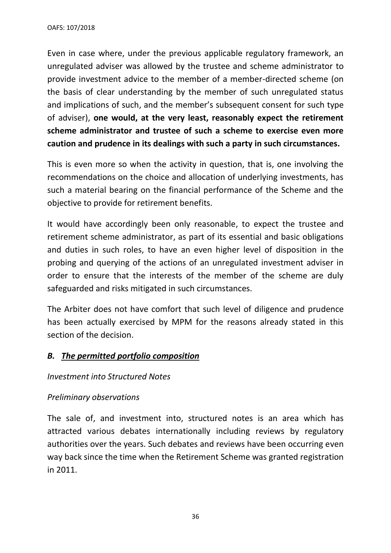Even in case where, under the previous applicable regulatory framework, an unregulated adviser was allowed by the trustee and scheme administrator to provide investment advice to the member of a member-directed scheme (on the basis of clear understanding by the member of such unregulated status and implications of such, and the member's subsequent consent for such type of adviser), **one would, at the very least, reasonably expect the retirement scheme administrator and trustee of such a scheme to exercise even more caution and prudence in its dealings with such a party in such circumstances.** 

This is even more so when the activity in question, that is, one involving the recommendations on the choice and allocation of underlying investments, has such a material bearing on the financial performance of the Scheme and the objective to provide for retirement benefits.

It would have accordingly been only reasonable, to expect the trustee and retirement scheme administrator, as part of its essential and basic obligations and duties in such roles, to have an even higher level of disposition in the probing and querying of the actions of an unregulated investment adviser in order to ensure that the interests of the member of the scheme are duly safeguarded and risks mitigated in such circumstances.

The Arbiter does not have comfort that such level of diligence and prudence has been actually exercised by MPM for the reasons already stated in this section of the decision.

# *B. The permitted portfolio composition*

## *Investment into Structured Notes*

## *Preliminary observations*

The sale of, and investment into, structured notes is an area which has attracted various debates internationally including reviews by regulatory authorities over the years. Such debates and reviews have been occurring even way back since the time when the Retirement Scheme was granted registration in 2011.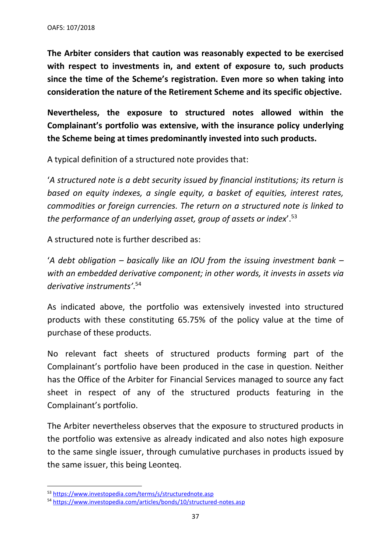**The Arbiter considers that caution was reasonably expected to be exercised with respect to investments in, and extent of exposure to, such products since the time of the Scheme's registration. Even more so when taking into consideration the nature of the Retirement Scheme and its specific objective.**

**Nevertheless, the exposure to structured notes allowed within the Complainant's portfolio was extensive, with the insurance policy underlying the Scheme being at times predominantly invested into such products.**

A typical definition of a structured note provides that:

'*A structured note is a [debt security](https://www.investopedia.com/terms/d/debtsecurity.asp) issued by financial institutions; its return is based on equity indexes, a single equity, a basket of equities, interest rates, commodities or foreign currencies. The return on a structured note is linked to the performance of an [underlying asset,](https://www.investopedia.com/terms/u/underlying-asset.asp) group of assets or index*'. 53

A structured note is further described as:

'*A [debt obligation](https://www.investopedia.com/terms/c/cdo.asp) – basically like an [IOU](https://www.investopedia.com/terms/i/iou.asp) from the issuing [investment bank](https://www.investopedia.com/terms/i/investmentbank.asp) – with an embedded [derivative](https://www.investopedia.com/terms/d/derivative.asp) component; in other words, it invests in [assets](https://www.investopedia.com/terms/a/asset.asp) via derivative instruments'*. 54

As indicated above, the portfolio was extensively invested into structured products with these constituting 65.75% of the policy value at the time of purchase of these products.

No relevant fact sheets of structured products forming part of the Complainant's portfolio have been produced in the case in question. Neither has the Office of the Arbiter for Financial Services managed to source any fact sheet in respect of any of the structured products featuring in the Complainant's portfolio.

The Arbiter nevertheless observes that the exposure to structured products in the portfolio was extensive as already indicated and also notes high exposure to the same single issuer, through cumulative purchases in products issued by the same issuer, this being Leonteq.

<sup>53</sup> <https://www.investopedia.com/terms/s/structurednote.asp>

<sup>54</sup> <https://www.investopedia.com/articles/bonds/10/structured-notes.asp>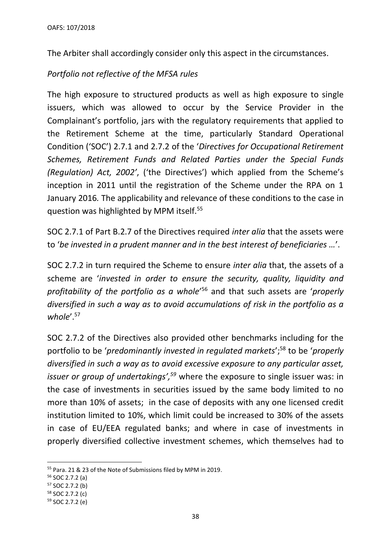The Arbiter shall accordingly consider only this aspect in the circumstances.

# *Portfolio not reflective of the MFSA rules*

The high exposure to structured products as well as high exposure to single issuers, which was allowed to occur by the Service Provider in the Complainant's portfolio, jars with the regulatory requirements that applied to the Retirement Scheme at the time, particularly Standard Operational Condition ('SOC') 2.7.1 and 2.7.2 of the '*Directives for Occupational Retirement Schemes, Retirement Funds and Related Parties under the Special Funds (Regulation) Act, 2002'*, ('the Directives') which applied from the Scheme's inception in 2011 until the registration of the Scheme under the RPA on 1 January 2016*.* The applicability and relevance of these conditions to the case in question was highlighted by MPM itself.<sup>55</sup>

SOC 2.7.1 of Part B.2.7 of the Directives required *inter alia* that the assets were to '*be invested in a prudent manner and in the best interest of beneficiaries …*'.

SOC 2.7.2 in turn required the Scheme to ensure *inter alia* that, the assets of a scheme are '*invested in order to ensure the security, quality, liquidity and profitability of the portfolio as a whole*' <sup>56</sup> and that such assets are '*properly diversified in such a way as to avoid accumulations of risk in the portfolio as a*  whole'.<sup>57</sup>

SOC 2.7.2 of the Directives also provided other benchmarks including for the portfolio to be '*predominantly invested in regulated markets*'; <sup>58</sup> to be '*properly diversified in such a way as to avoid excessive exposure to any particular asset, issuer or group of undertakings', <sup>59</sup>* where the exposure to single issuer was: in the case of investments in securities issued by the same body limited to no more than 10% of assets; in the case of deposits with any one licensed credit institution limited to 10%, which limit could be increased to 30% of the assets in case of EU/EEA regulated banks; and where in case of investments in properly diversified collective investment schemes, which themselves had to

<sup>55</sup> Para. 21 & 23 of the Note of Submissions filed by MPM in 2019.

<sup>56</sup> SOC 2.7.2 (a)

<sup>57</sup> SOC 2.7.2 (b)

<sup>58</sup> SOC 2.7.2 (c)

<sup>59</sup> SOC 2.7.2 (e)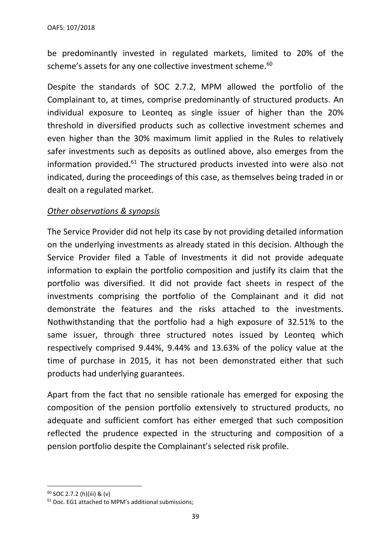be predominantly invested in regulated markets, limited to 20% of the scheme's assets for any one collective investment scheme.<sup>60</sup>

Despite the standards of SOC 2.7.2, MPM allowed the portfolio of the Complainant to, at times, comprise predominantly of structured products. An individual exposure to Leonteq as single issuer of higher than the 20% threshold in diversified products such as collective investment schemes and even higher than the 30% maximum limit applied in the Rules to relatively safer investments such as deposits as outlined above, also emerges from the information provided.<sup>61</sup> The structured products invested into were also not indicated, during the proceedings of this case, as themselves being traded in or dealt on a regulated market.

# *Other observations & synopsis*

The Service Provider did not help its case by not providing detailed information on the underlying investments as already stated in this decision. Although the Service Provider filed a Table of Investments it did not provide adequate information to explain the portfolio composition and justify its claim that the portfolio was diversified. It did not provide fact sheets in respect of the investments comprising the portfolio of the Complainant and it did not demonstrate the features and the risks attached to the investments. Nothwithstanding that the portfolio had a high exposure of 32.51% to the same issuer, through three structured notes issued by Leonteg which respectively comprised 9.44%, 9.44% and 13.63% of the policy value at the time of purchase in 2015, it has not been demonstrated either that such products had underlying guarantees.

Apart from the fact that no sensible rationale has emerged for exposing the composition of the pension portfolio extensively to structured products, no adequate and sufficient comfort has either emerged that such composition reflected the prudence expected in the structuring and composition of a pension portfolio despite the Complainant's selected risk profile.

<sup>60</sup> SOC 2.7.2 (h)(iii) & (v)

<sup>61</sup> Doc. EG1 attached to MPM's additional submissions;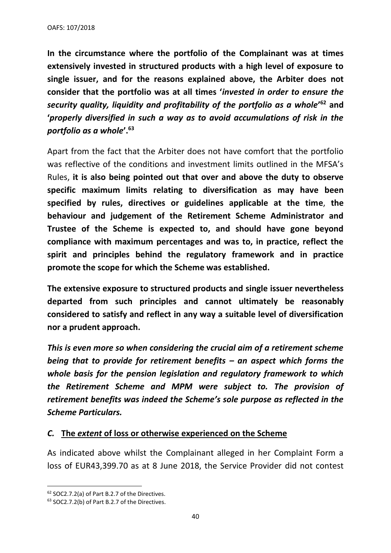OAFS: 107/2018

**In the circumstance where the portfolio of the Complainant was at times extensively invested in structured products with a high level of exposure to single issuer, and for the reasons explained above, the Arbiter does not consider that the portfolio was at all times '***invested in order to ensure the security quality, liquidity and profitability of the portfolio as a whole***' <sup>62</sup> and '***properly diversified in such a way as to avoid accumulations of risk in the portfolio as a whole***'.<sup>63</sup>**

Apart from the fact that the Arbiter does not have comfort that the portfolio was reflective of the conditions and investment limits outlined in the MFSA's Rules, **it is also being pointed out that over and above the duty to observe specific maximum limits relating to diversification as may have been specified by rules, directives or guidelines applicable at the time**, **the behaviour and judgement of the Retirement Scheme Administrator and Trustee of the Scheme is expected to, and should have gone beyond compliance with maximum percentages and was to, in practice, reflect the spirit and principles behind the regulatory framework and in practice promote the scope for which the Scheme was established.** 

**The extensive exposure to structured products and single issuer nevertheless departed from such principles and cannot ultimately be reasonably considered to satisfy and reflect in any way a suitable level of diversification nor a prudent approach.** 

*This is even more so when considering the crucial aim of a retirement scheme being that to provide for retirement benefits – an aspect which forms the whole basis for the pension legislation and regulatory framework to which the Retirement Scheme and MPM were subject to. The provision of retirement benefits was indeed the Scheme's sole purpose as reflected in the Scheme Particulars.* 

## *C.* **The** *extent* **of loss or otherwise experienced on the Scheme**

As indicated above whilst the Complainant alleged in her Complaint Form a loss of EUR43,399.70 as at 8 June 2018, the Service Provider did not contest

<sup>62</sup> SOC2.7.2(a) of Part B.2.7 of the Directives.

<sup>63</sup> SOC2.7.2(b) of Part B.2.7 of the Directives.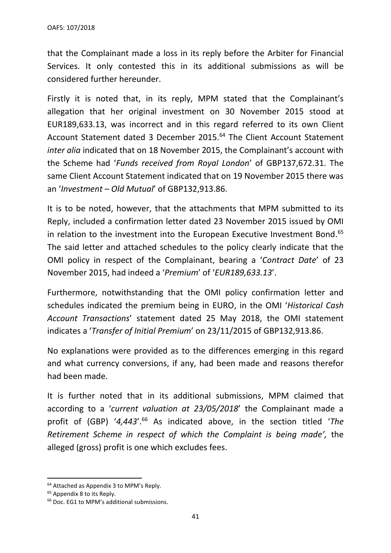that the Complainant made a loss in its reply before the Arbiter for Financial Services. It only contested this in its additional submissions as will be considered further hereunder.

Firstly it is noted that, in its reply, MPM stated that the Complainant's allegation that her original investment on 30 November 2015 stood at EUR189,633.13, was incorrect and in this regard referred to its own Client Account Statement dated 3 December 2015. <sup>64</sup> The Client Account Statement *inter alia* indicated that on 18 November 2015, the Complainant's account with the Scheme had '*Funds received from Royal London*' of GBP137,672.31. The same Client Account Statement indicated that on 19 November 2015 there was an '*Investment – Old Mutual*' of GBP132,913.86.

It is to be noted, however, that the attachments that MPM submitted to its Reply, included a confirmation letter dated 23 November 2015 issued by OMI in relation to the investment into the European Executive Investment Bond.<sup>65</sup> The said letter and attached schedules to the policy clearly indicate that the OMI policy in respect of the Complainant, bearing a '*Contract Date*' of 23 November 2015, had indeed a '*Premium*' of '*EUR189,633.13*'.

Furthermore, notwithstanding that the OMI policy confirmation letter and schedules indicated the premium being in EURO, in the OMI '*Historical Cash Account Transactions*' statement dated 25 May 2018, the OMI statement indicates a '*Transfer of Initial Premium*' on 23/11/2015 of GBP132,913.86.

No explanations were provided as to the differences emerging in this regard and what currency conversions, if any, had been made and reasons therefor had been made.

It is further noted that in its additional submissions, MPM claimed that according to a '*current valuation at 23/05/2018*' the Complainant made a profit of (GBP) '*4,443*'. <sup>66</sup> As indicated above, in the section titled '*The Retirement Scheme in respect of which the Complaint is being made',* the alleged (gross) profit is one which excludes fees.

<sup>&</sup>lt;sup>64</sup> Attached as Appendix 3 to MPM's Reply.

<sup>&</sup>lt;sup>65</sup> Appendix 8 to its Reply.

<sup>66</sup> Doc. EG1 to MPM's additional submissions.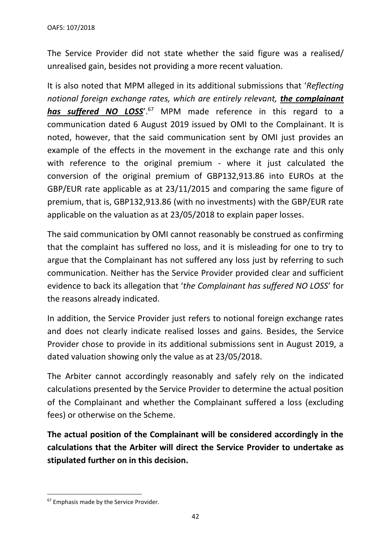The Service Provider did not state whether the said figure was a realised/ unrealised gain, besides not providing a more recent valuation.

It is also noted that MPM alleged in its additional submissions that '*Reflecting notional foreign exchange rates, which are entirely relevant, the complainant has suffered NO LOSS*'. <sup>67</sup> MPM made reference in this regard to a communication dated 6 August 2019 issued by OMI to the Complainant. It is noted, however, that the said communication sent by OMI just provides an example of the effects in the movement in the exchange rate and this only with reference to the original premium - where it just calculated the conversion of the original premium of GBP132,913.86 into EUROs at the GBP/EUR rate applicable as at 23/11/2015 and comparing the same figure of premium, that is, GBP132,913.86 (with no investments) with the GBP/EUR rate applicable on the valuation as at 23/05/2018 to explain paper losses.

The said communication by OMI cannot reasonably be construed as confirming that the complaint has suffered no loss, and it is misleading for one to try to argue that the Complainant has not suffered any loss just by referring to such communication. Neither has the Service Provider provided clear and sufficient evidence to back its allegation that '*the Complainant has suffered NO LOSS*' for the reasons already indicated.

In addition, the Service Provider just refers to notional foreign exchange rates and does not clearly indicate realised losses and gains. Besides, the Service Provider chose to provide in its additional submissions sent in August 2019, a dated valuation showing only the value as at 23/05/2018.

The Arbiter cannot accordingly reasonably and safely rely on the indicated calculations presented by the Service Provider to determine the actual position of the Complainant and whether the Complainant suffered a loss (excluding fees) or otherwise on the Scheme.

**The actual position of the Complainant will be considered accordingly in the calculations that the Arbiter will direct the Service Provider to undertake as stipulated further on in this decision.**

<sup>&</sup>lt;sup>67</sup> Emphasis made by the Service Provider.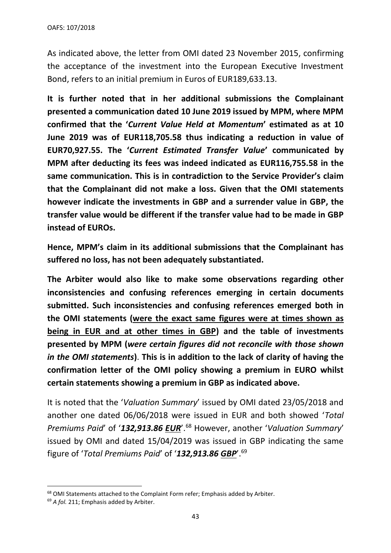As indicated above, the letter from OMI dated 23 November 2015, confirming the acceptance of the investment into the European Executive Investment Bond, refers to an initial premium in Euros of EUR189,633.13.

**It is further noted that in her additional submissions the Complainant presented a communication dated 10 June 2019 issued by MPM, where MPM confirmed that the '***Current Value Held at Momentum***' estimated as at 10 June 2019 was of EUR118,705.58 thus indicating a reduction in value of EUR70,927.55. The '***Current Estimated Transfer Value***' communicated by MPM after deducting its fees was indeed indicated as EUR116,755.58 in the same communication. This is in contradiction to the Service Provider's claim that the Complainant did not make a loss. Given that the OMI statements however indicate the investments in GBP and a surrender value in GBP, the transfer value would be different if the transfer value had to be made in GBP instead of EUROs.** 

**Hence, MPM's claim in its additional submissions that the Complainant has suffered no loss, has not been adequately substantiated.**

**The Arbiter would also like to make some observations regarding other inconsistencies and confusing references emerging in certain documents submitted. Such inconsistencies and confusing references emerged both in the OMI statements (were the exact same figures were at times shown as being in EUR and at other times in GBP) and the table of investments presented by MPM (***were certain figures did not reconcile with those shown in the OMI statements***)**. **This is in addition to the lack of clarity of having the confirmation letter of the OMI policy showing a premium in EURO whilst certain statements showing a premium in GBP as indicated above.**

It is noted that the '*Valuation Summary*' issued by OMI dated 23/05/2018 and another one dated 06/06/2018 were issued in EUR and both showed '*Total Premiums Paid*' of '*132,913.86 EUR*'.<sup>68</sup> However, another '*Valuation Summary*' issued by OMI and dated 15/04/2019 was issued in GBP indicating the same figure of '*Total Premiums Paid*' of '*132,913.86 GBP*'.<sup>69</sup>

<sup>&</sup>lt;sup>68</sup> OMI Statements attached to the Complaint Form refer; Emphasis added by Arbiter.

<sup>&</sup>lt;sup>69</sup> A fol. 211; Emphasis added by Arbiter.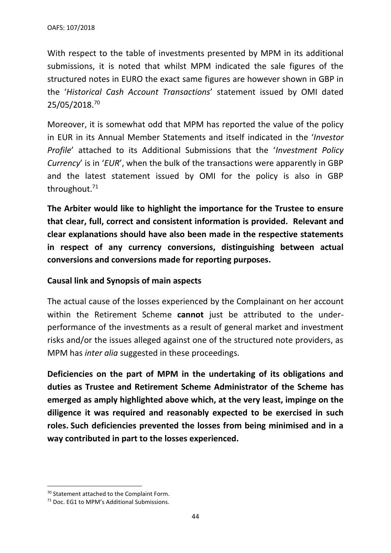With respect to the table of investments presented by MPM in its additional submissions, it is noted that whilst MPM indicated the sale figures of the structured notes in EURO the exact same figures are however shown in GBP in the '*Historical Cash Account Transactions*' statement issued by OMI dated 25/05/2018.<sup>70</sup>

Moreover, it is somewhat odd that MPM has reported the value of the policy in EUR in its Annual Member Statements and itself indicated in the '*Investor Profile*' attached to its Additional Submissions that the '*Investment Policy Currency*' is in '*EUR*', when the bulk of the transactions were apparently in GBP and the latest statement issued by OMI for the policy is also in GBP throughout. $71$ 

**The Arbiter would like to highlight the importance for the Trustee to ensure that clear, full, correct and consistent information is provided. Relevant and clear explanations should have also been made in the respective statements in respect of any currency conversions, distinguishing between actual conversions and conversions made for reporting purposes.** 

## **Causal link and Synopsis of main aspects**

The actual cause of the losses experienced by the Complainant on her account within the Retirement Scheme **cannot** just be attributed to the underperformance of the investments as a result of general market and investment risks and/or the issues alleged against one of the structured note providers, as MPM has *inter alia* suggested in these proceedings.

**Deficiencies on the part of MPM in the undertaking of its obligations and duties as Trustee and Retirement Scheme Administrator of the Scheme has emerged as amply highlighted above which, at the very least, impinge on the diligence it was required and reasonably expected to be exercised in such roles. Such deficiencies prevented the losses from being minimised and in a way contributed in part to the losses experienced.** 

<sup>70</sup> Statement attached to the Complaint Form.

<sup>71</sup> Doc. EG1 to MPM's Additional Submissions.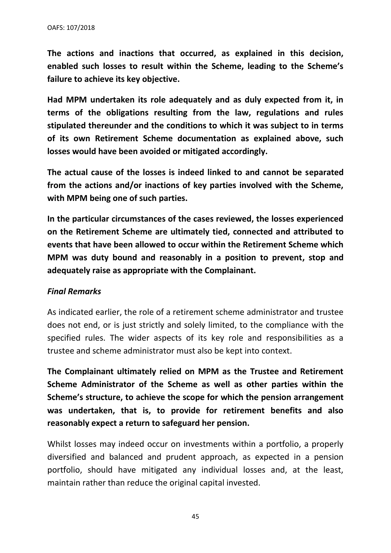**The actions and inactions that occurred, as explained in this decision, enabled such losses to result within the Scheme, leading to the Scheme's failure to achieve its key objective.**

**Had MPM undertaken its role adequately and as duly expected from it, in terms of the obligations resulting from the law, regulations and rules stipulated thereunder and the conditions to which it was subject to in terms of its own Retirement Scheme documentation as explained above, such losses would have been avoided or mitigated accordingly.**

**The actual cause of the losses is indeed linked to and cannot be separated from the actions and/or inactions of key parties involved with the Scheme, with MPM being one of such parties.**

**In the particular circumstances of the cases reviewed, the losses experienced on the Retirement Scheme are ultimately tied, connected and attributed to events that have been allowed to occur within the Retirement Scheme which MPM was duty bound and reasonably in a position to prevent, stop and adequately raise as appropriate with the Complainant.**

# *Final Remarks*

As indicated earlier, the role of a retirement scheme administrator and trustee does not end, or is just strictly and solely limited, to the compliance with the specified rules. The wider aspects of its key role and responsibilities as a trustee and scheme administrator must also be kept into context.

**The Complainant ultimately relied on MPM as the Trustee and Retirement Scheme Administrator of the Scheme as well as other parties within the Scheme's structure, to achieve the scope for which the pension arrangement was undertaken, that is, to provide for retirement benefits and also reasonably expect a return to safeguard her pension.**

Whilst losses may indeed occur on investments within a portfolio, a properly diversified and balanced and prudent approach, as expected in a pension portfolio, should have mitigated any individual losses and, at the least, maintain rather than reduce the original capital invested.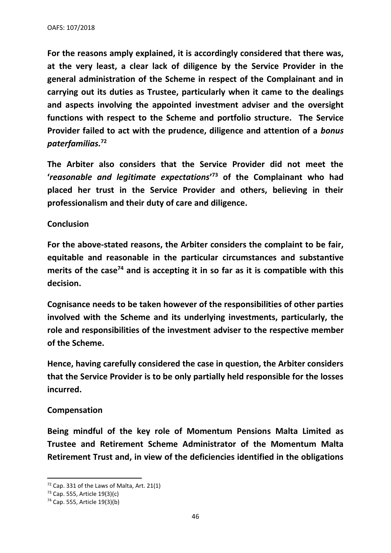**For the reasons amply explained, it is accordingly considered that there was, at the very least, a clear lack of diligence by the Service Provider in the general administration of the Scheme in respect of the Complainant and in carrying out its duties as Trustee, particularly when it came to the dealings and aspects involving the appointed investment adviser and the oversight functions with respect to the Scheme and portfolio structure. The Service Provider failed to act with the prudence, diligence and attention of a** *bonus paterfamilias.* **72**

**The Arbiter also considers that the Service Provider did not meet the '***reasonable and legitimate expectations***' <sup>73</sup> of the Complainant who had placed her trust in the Service Provider and others, believing in their professionalism and their duty of care and diligence.** 

## **Conclusion**

**For the above-stated reasons, the Arbiter considers the complaint to be fair, equitable and reasonable in the particular circumstances and substantive merits of the case<sup>74</sup> and is accepting it in so far as it is compatible with this decision.**

**Cognisance needs to be taken however of the responsibilities of other parties involved with the Scheme and its underlying investments, particularly, the role and responsibilities of the investment adviser to the respective member of the Scheme.** 

**Hence, having carefully considered the case in question, the Arbiter considers that the Service Provider is to be only partially held responsible for the losses incurred.** 

## **Compensation**

**Being mindful of the key role of Momentum Pensions Malta Limited as Trustee and Retirement Scheme Administrator of the Momentum Malta Retirement Trust and, in view of the deficiencies identified in the obligations** 

 $72$  Cap. 331 of the Laws of Malta, Art. 21(1)

<sup>73</sup> Cap. 555, Article 19(3)(c)

<sup>74</sup> Cap. 555, Article 19(3)(b)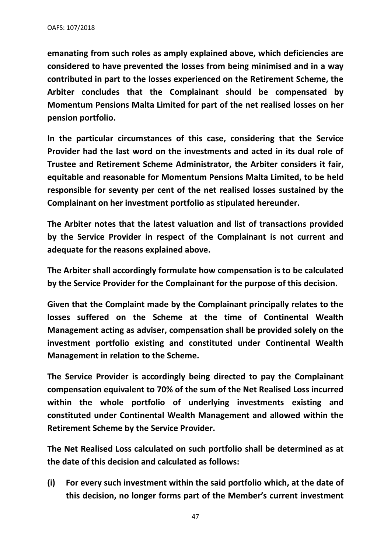**emanating from such roles as amply explained above, which deficiencies are considered to have prevented the losses from being minimised and in a way contributed in part to the losses experienced on the Retirement Scheme, the Arbiter concludes that the Complainant should be compensated by Momentum Pensions Malta Limited for part of the net realised losses on her pension portfolio.** 

**In the particular circumstances of this case, considering that the Service Provider had the last word on the investments and acted in its dual role of Trustee and Retirement Scheme Administrator, the Arbiter considers it fair, equitable and reasonable for Momentum Pensions Malta Limited, to be held responsible for seventy per cent of the net realised losses sustained by the Complainant on her investment portfolio as stipulated hereunder.**

**The Arbiter notes that the latest valuation and list of transactions provided by the Service Provider in respect of the Complainant is not current and adequate for the reasons explained above.** 

**The Arbiter shall accordingly formulate how compensation is to be calculated by the Service Provider for the Complainant for the purpose of this decision.** 

**Given that the Complaint made by the Complainant principally relates to the losses suffered on the Scheme at the time of Continental Wealth Management acting as adviser, compensation shall be provided solely on the investment portfolio existing and constituted under Continental Wealth Management in relation to the Scheme.** 

**The Service Provider is accordingly being directed to pay the Complainant compensation equivalent to 70% of the sum of the Net Realised Loss incurred within the whole portfolio of underlying investments existing and constituted under Continental Wealth Management and allowed within the Retirement Scheme by the Service Provider.** 

**The Net Realised Loss calculated on such portfolio shall be determined as at the date of this decision and calculated as follows:**

**(i) For every such investment within the said portfolio which, at the date of this decision, no longer forms part of the Member's current investment**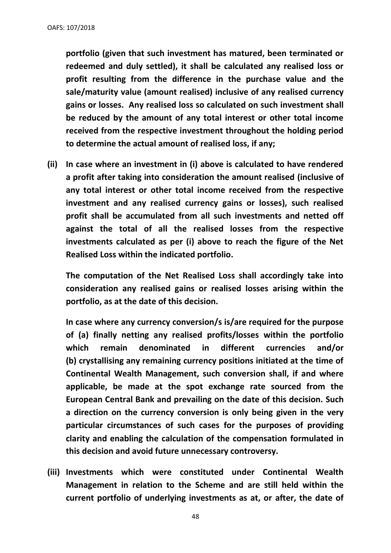**portfolio (given that such investment has matured, been terminated or redeemed and duly settled), it shall be calculated any realised loss or profit resulting from the difference in the purchase value and the sale/maturity value (amount realised) inclusive of any realised currency gains or losses. Any realised loss so calculated on such investment shall be reduced by the amount of any total interest or other total income received from the respective investment throughout the holding period to determine the actual amount of realised loss, if any;**

**(ii) In case where an investment in (i) above is calculated to have rendered a profit after taking into consideration the amount realised (inclusive of any total interest or other total income received from the respective investment and any realised currency gains or losses), such realised profit shall be accumulated from all such investments and netted off against the total of all the realised losses from the respective investments calculated as per (i) above to reach the figure of the Net Realised Loss within the indicated portfolio.**

**The computation of the Net Realised Loss shall accordingly take into consideration any realised gains or realised losses arising within the portfolio, as at the date of this decision.**

**In case where any currency conversion/s is/are required for the purpose of (a) finally netting any realised profits/losses within the portfolio which remain denominated in different currencies and/or (b) crystallising any remaining currency positions initiated at the time of Continental Wealth Management, such conversion shall, if and where applicable, be made at the spot exchange rate sourced from the European Central Bank and prevailing on the date of this decision. Such a direction on the currency conversion is only being given in the very particular circumstances of such cases for the purposes of providing clarity and enabling the calculation of the compensation formulated in this decision and avoid future unnecessary controversy.**

**(iii) Investments which were constituted under Continental Wealth Management in relation to the Scheme and are still held within the current portfolio of underlying investments as at, or after, the date of**